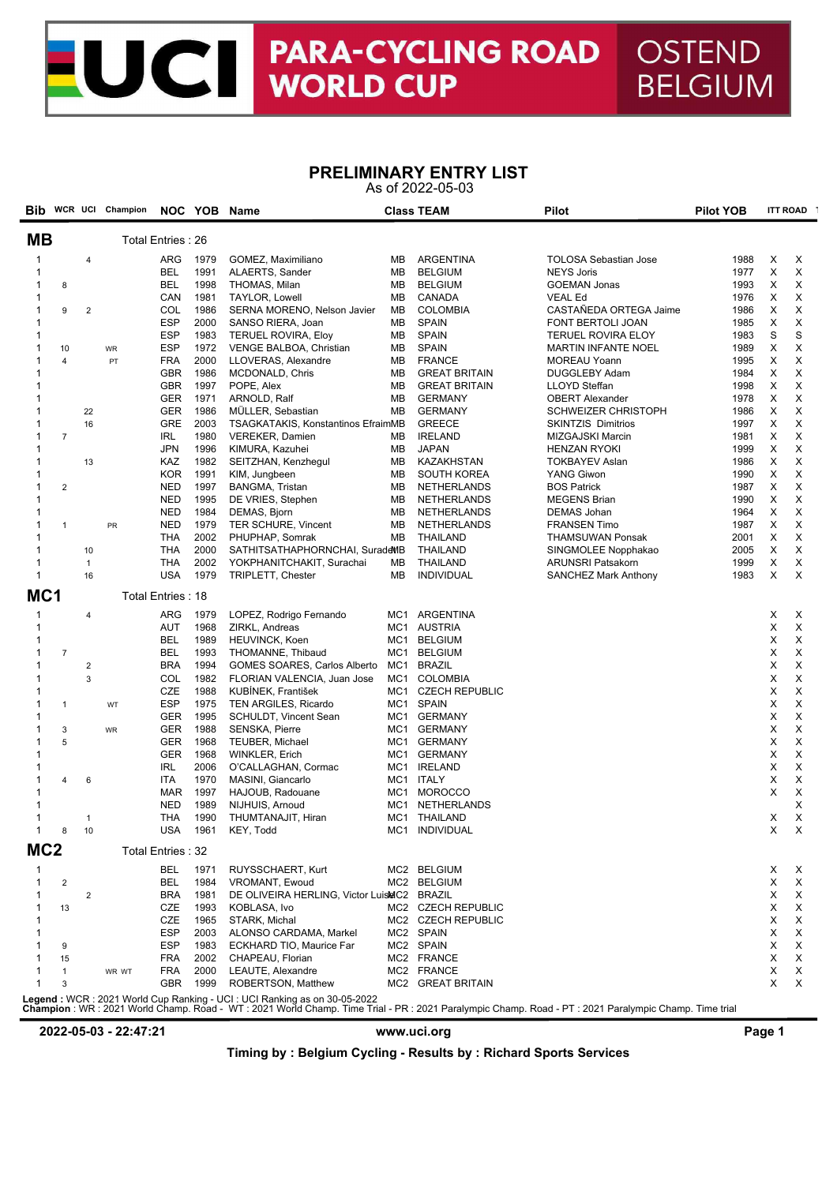## **CONTRACTS AND STEND WORLD CUP BELGIUM**

### **BELGIUM**

### **PRELIMINARY ENTRY LIST**

As of 2022-05-03

| Bib             |                |                         | WCR UCI Champion |                   | NOC YOB | Name                                        |     | <b>Class TEAM</b>        | <b>Pilot</b>                 | <b>Pilot YOB</b> |   | <b>ITT ROAD</b> |
|-----------------|----------------|-------------------------|------------------|-------------------|---------|---------------------------------------------|-----|--------------------------|------------------------------|------------------|---|-----------------|
| MВ              |                |                         |                  | Total Entries: 26 |         |                                             |     |                          |                              |                  |   |                 |
| 1               |                | 4                       |                  | ARG               | 1979    | GOMEZ, Maximiliano                          | мв  | ARGENTINA                | <b>TOLOSA Sebastian Jose</b> | 1988             | Х | х               |
| 1               |                |                         |                  | BEL               | 1991    | ALAERTS, Sander                             | MВ  | <b>BELGIUM</b>           | <b>NEYS Joris</b>            | 1977             | X | х               |
| 1               | 8              |                         |                  | <b>BEL</b>        | 1998    | THOMAS, Milan                               | мв  | <b>BELGIUM</b>           | <b>GOEMAN Jonas</b>          | 1993             | X | х               |
| 1               |                |                         |                  | CAN               | 1981    | TAYLOR, Lowell                              | MВ  | CANADA                   | <b>VEAL Ed</b>               | 1976             | X | х               |
| 1               | 9              | $\overline{2}$          |                  | COL               | 1986    | SERNA MORENO, Nelson Javier                 | мв  | <b>COLOMBIA</b>          | CASTAÑEDA ORTEGA Jaime       | 1986             | Х | х               |
| 1               |                |                         |                  | <b>ESP</b>        | 2000    | SANSO RIERA, Joan                           | MВ  | <b>SPAIN</b>             | FONT BERTOLI JOAN            | 1985             | X | X               |
| 1               |                |                         |                  | <b>ESP</b>        | 1983    | <b>TERUEL ROVIRA, Eloy</b>                  | MВ  | <b>SPAIN</b>             | <b>TERUEL ROVIRA ELOY</b>    | 1983             | S | S               |
| 1               | 10             |                         | WR               | <b>ESP</b>        | 1972    | VENGE BALBOA, Christian                     | MВ  | <b>SPAIN</b>             | MARTIN INFANTE NOEL          | 1989             | X | X               |
|                 | 4              |                         | PT               | <b>FRA</b>        | 2000    | LLOVERAS, Alexandre                         | мв  | <b>FRANCE</b>            | <b>MOREAU Yoann</b>          | 1995             | Х | х               |
|                 |                |                         |                  | GBR               | 1986    | MCDONALD, Chris                             | мв  | <b>GREAT BRITAIN</b>     | DUGGLEBY Adam                | 1984             | X | х               |
|                 |                |                         |                  | GBR               | 1997    | POPE, Alex                                  | мв  | <b>GREAT BRITAIN</b>     | <b>LLOYD Steffan</b>         | 1998             | X | х               |
|                 |                |                         |                  | GER               | 1971    | ARNOLD, Ralf                                | MВ  | <b>GERMANY</b>           | <b>OBERT Alexander</b>       | 1978             | X | х               |
|                 |                | 22                      |                  | GER               | 1986    | MÜLLER, Sebastian                           | MВ  | <b>GERMANY</b>           | <b>SCHWEIZER CHRISTOPH</b>   | 1986             | X | х               |
| 1               |                | 16                      |                  | <b>GRE</b>        | 2003    | TSAGKATAKIS, Konstantinos EfraimMB          |     | <b>GREECE</b>            | <b>SKINTZIS Dimitrios</b>    | 1997             | X | х               |
| 1               | $\overline{7}$ |                         |                  | IRL               | 1980    | <b>VEREKER, Damien</b>                      | мв  | <b>IRELAND</b>           | MIZGAJSKI Marcin             | 1981             | Х | х               |
| 1               |                |                         |                  | <b>JPN</b>        | 1996    | KIMURA, Kazuhei                             | MВ  | <b>JAPAN</b>             | <b>HENZAN RYOKI</b>          | 1999             | X | х               |
| 1               |                | 13                      |                  | KAZ               | 1982    | SEITZHAN, Kenzhegul                         | MВ  | KAZAKHSTAN               | <b>TOKBAYEV Aslan</b>        | 1986             | Х | х               |
| 1               |                |                         |                  | <b>KOR</b>        | 1991    | KIM, Jungbeen                               | MВ  | SOUTH KOREA              | <b>YANG Giwon</b>            | 1990             | X | х               |
| 1               | $\overline{2}$ |                         |                  | NED               | 1997    | <b>BANGMA, Tristan</b>                      | мв  | NETHERLANDS              | <b>BOS Patrick</b>           | 1987             | X | х               |
| 1               |                |                         |                  | NED               | 1995    | DE VRIES, Stephen                           | мв  | NETHERLANDS              | <b>MEGENS Brian</b>          | 1990             | X | х               |
| 1               |                |                         |                  | NED               | 1984    | DEMAS, Bjorn                                | мв  | NETHERLANDS              | DEMAS Johan                  | 1964             | Х | х               |
|                 | $\mathbf{1}$   |                         | PR               | NED               | 1979    | <b>TER SCHURE, Vincent</b>                  | мв  | NETHERLANDS              | <b>FRANSEN Timo</b>          | 1987             | X | х               |
|                 |                |                         |                  | THA               | 2002    | PHUPHAP, Somrak                             | мв  | THAILAND                 | <b>THAMSUWAN Ponsak</b>      | 2001             | Х | х               |
| 1               |                | 10                      |                  | THA               | 2000    | SATHITSATHAPHORNCHAI, SuradeWB              |     | <b>THAILAND</b>          | SINGMOLEE Nopphakao          | 2005             | X | х               |
| 1               |                | 1                       |                  | <b>THA</b>        | 2002    | YOKPHANITCHAKIT, Surachai                   | MВ  | THAILAND                 | <b>ARUNSRI Patsakorn</b>     | 1999             | X | х               |
| $\mathbf{1}$    |                | 16                      |                  | <b>USA</b>        | 1979    | <b>TRIPLETT, Chester</b>                    | MВ  | INDIVIDUAL               | <b>SANCHEZ Mark Anthony</b>  | 1983             | X | X               |
| MC1             |                |                         |                  | Total Entries: 18 |         |                                             |     |                          |                              |                  |   |                 |
|                 |                |                         |                  | ARG               | 1979    |                                             | MC1 |                          |                              |                  | х |                 |
| 1               |                | 4                       |                  | AUT               | 1968    | LOPEZ, Rodrigo Fernando<br>ZIRKL, Andreas   |     | ARGENTINA<br>MC1 AUSTRIA |                              |                  | X | х<br>X          |
| 1               |                |                         |                  | BEL               | 1989    | <b>HEUVINCK, Koen</b>                       |     | MC1 BELGIUM              |                              |                  | X | X               |
| 1               | $\overline{7}$ |                         |                  | BEL               | 1993    | THOMANNE, Thibaud                           |     | MC1 BELGIUM              |                              |                  | X | X               |
|                 |                | $\overline{2}$          |                  | <b>BRA</b>        | 1994    | GOMES SOARES, Carlos Alberto                |     | MC1 BRAZIL               |                              |                  | X | X               |
|                 |                | 3                       |                  | COL               | 1982    | FLORIAN VALENCIA, Juan Jose                 | MC1 | COLOMBIA                 |                              |                  | X | X               |
|                 |                |                         |                  | <b>CZE</b>        | 1988    | KUBİNEK, František                          |     | MC1 CZECH REPUBLIC       |                              |                  | X | X               |
|                 | $\mathbf{1}$   |                         |                  | <b>ESP</b>        | 1975    | TEN ARGILES, Ricardo                        |     | MC1 SPAIN                |                              |                  | X | X               |
|                 |                |                         | WT               | <b>GER</b>        | 1995    | SCHULDT, Vincent Sean                       |     | MC1 GERMANY              |                              |                  | X | X               |
|                 | 3              |                         | WR               | <b>GER</b>        | 1988    | SENSKA, Pierre                              |     | MC1 GERMANY              |                              |                  | X | X               |
|                 | 5              |                         |                  | <b>GER</b>        | 1968    | TEUBER, Michael                             |     | MC1 GERMANY              |                              |                  | X | X               |
|                 |                |                         |                  | <b>GER</b>        | 1968    | <b>WINKLER, Erich</b>                       |     | MC1 GERMANY              |                              |                  | X | X               |
|                 |                |                         |                  | <b>IRL</b>        | 2006    | O'CALLAGHAN, Cormac                         |     | MC1 IRELAND              |                              |                  | X | X               |
|                 | 4              |                         |                  | ITA               | 1970    | MASINI, Giancarlo                           |     | MC1 ITALY                |                              |                  | X | х               |
|                 |                | 6                       |                  | <b>MAR</b>        | 1997    | HAJOUB, Radouane                            |     | MC1 MOROCCO              |                              |                  | X | X               |
|                 |                |                         |                  | <b>NED</b>        | 1989    | NIJHUIS, Arnoud                             |     | MC1 NETHERLANDS          |                              |                  |   | х               |
|                 |                | $\mathbf{1}$            |                  | THA               | 1990    | THUMTANAJIT, Hiran                          |     | MC1 THAILAND             |                              |                  | х | X               |
| $\mathbf{1}$    | 8              | 10                      |                  | <b>USA</b>        | 1961    | KEY, Todd                                   | MC1 | INDIVIDUAL               |                              |                  | X | X               |
| MC <sub>2</sub> |                |                         |                  |                   |         |                                             |     |                          |                              |                  |   |                 |
|                 |                |                         |                  | Total Entries: 32 |         |                                             |     |                          |                              |                  |   |                 |
| 1               |                |                         |                  | BEL               | 1971    | RUYSSCHAERT, Kurt                           |     | MC2 BELGIUM              |                              |                  | Х | х               |
| 1               | $\overline{c}$ |                         |                  | BEL               | 1984    | VROMANT, Ewoud                              |     | MC2 BELGIUM              |                              |                  | X | Х               |
| 1               |                | $\overline{\mathbf{c}}$ |                  | <b>BRA</b>        | 1981    | DE OLIVEIRA HERLING, Victor LuiseIC2 BRAZIL |     |                          |                              |                  | х | х               |
| 1               | 13             |                         |                  | CZE               | 1993    | KOBLASA, Ivo                                |     | MC2 CZECH REPUBLIC       |                              |                  | х | х               |
| 1               |                |                         |                  | <b>CZE</b>        | 1965    | STARK, Michal                               |     | MC2 CZECH REPUBLIC       |                              |                  | X | X               |
| $\mathbf{1}$    |                |                         |                  | ESP               | 2003    | ALONSO CARDAMA, Markel                      |     | MC2 SPAIN                |                              |                  | х | х               |
| 1               | 9              |                         |                  | <b>ESP</b>        | 1983    | ECKHARD TIO, Maurice Far                    |     | MC2 SPAIN                |                              |                  | X | X               |
| 1               | 15             |                         |                  | <b>FRA</b>        | 2002    | CHAPEAU, Florian                            |     | MC2 FRANCE               |                              |                  | х | х               |
| 1               | $\mathbf{1}$   |                         | WR WT            | <b>FRA</b>        | 2000    | LEAUTE, Alexandre                           |     | MC2 FRANCE               |                              |                  | X | х               |
|                 |                |                         |                  | GBR               | 1999    | ROBERTSON, Matthew                          |     | MC2 GREAT BRITAIN        |                              |                  | X | X               |

**2022-05-03 - 22:47:21 www.uci.org Page 1**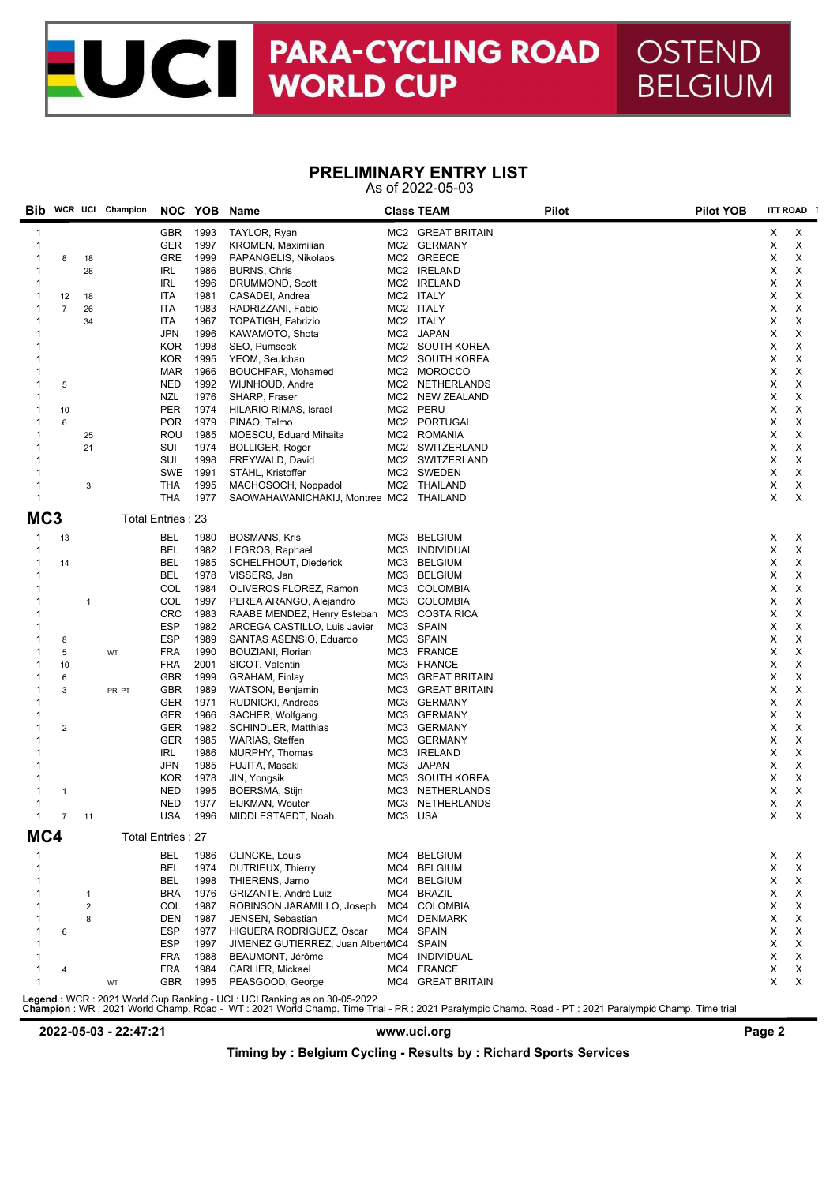# CH PARA-CYCLING ROAD OSTEND



#### **PRELIMINARY ENTRY LIST**

As of 2022-05-03

| <b>Bib</b>      |                |                | WCR UCI Champion |                          |              | NOC YOB Name                                                            |                 | <b>Class TEAM</b>       | Pilot<br><b>Pilot YOB</b>                                                                                                                              |        | <b>ITT ROAD</b> |
|-----------------|----------------|----------------|------------------|--------------------------|--------------|-------------------------------------------------------------------------|-----------------|-------------------------|--------------------------------------------------------------------------------------------------------------------------------------------------------|--------|-----------------|
| 1               |                |                |                  | <b>GBR</b>               | 1993         | TAYLOR, Ryan                                                            |                 | MC2 GREAT BRITAIN       |                                                                                                                                                        | Х      | Х               |
| 1               |                |                |                  | <b>GER</b>               | 1997         | KROMEN, Maximilian                                                      |                 | MC2 GERMANY             |                                                                                                                                                        | X      | х               |
| 1               | 8              | 18             |                  | <b>GRE</b>               | 1999         | PAPANGELIS, Nikolaos                                                    |                 | MC2 GREECE              |                                                                                                                                                        | х      | х               |
| 1               |                | 28             |                  | <b>IRL</b>               | 1986         | <b>BURNS, Chris</b>                                                     |                 | MC2 IRELAND             |                                                                                                                                                        | х      | х               |
| 1               |                |                |                  | <b>IRL</b>               | 1996         | DRUMMOND, Scott                                                         |                 | MC2 IRELAND             |                                                                                                                                                        | X      | х               |
| 1               | 12             | 18             |                  | ITA                      | 1981         | CASADEI, Andrea                                                         |                 | MC2 ITALY               |                                                                                                                                                        | х      | х               |
| 1               | $\overline{7}$ | 26             |                  | ITA                      | 1983         | RADRIZZANI, Fabio                                                       |                 | MC2 ITALY               |                                                                                                                                                        | X      | X               |
| 1               |                | 34             |                  | ITA                      | 1967         | TOPATIGH, Fabrizio                                                      |                 | MC2 ITALY               |                                                                                                                                                        | х      | х               |
| 1               |                |                |                  | <b>JPN</b>               | 1996         | KAWAMOTO, Shota                                                         |                 | MC2 JAPAN               |                                                                                                                                                        | X      | X               |
| 1               |                |                |                  | <b>KOR</b>               | 1998         | SEO, Pumseok                                                            |                 | MC2 SOUTH KOREA         |                                                                                                                                                        | х      | х               |
| 1               |                |                |                  | <b>KOR</b>               | 1995         | YEOM, Seulchan                                                          | MC2             | SOUTH KOREA             |                                                                                                                                                        | X      | х               |
| 1               |                |                |                  | <b>MAR</b>               | 1966         | BOUCHFAR, Mohamed                                                       | MC2             | <b>MOROCCO</b>          |                                                                                                                                                        | х      | х               |
| 1               | 5              |                |                  | <b>NED</b>               | 1992         | WIJNHOUD, Andre                                                         | MC2             | NETHERLANDS             |                                                                                                                                                        | X      | X               |
| 1               |                |                |                  | NZL                      | 1976         | SHARP, Fraser                                                           |                 | MC2 NEW ZEALAND         |                                                                                                                                                        | х      | х               |
| 1               | 10             |                |                  | <b>PER</b>               | 1974         | HILARIO RIMAS, Israel                                                   |                 | MC2 PERU                |                                                                                                                                                        | X      | х               |
| 1               | 6              |                |                  | <b>POR</b>               | 1979         | PINÃO, Telmo                                                            |                 | MC2 PORTUGAL            |                                                                                                                                                        | х      | х               |
| 1               |                | 25             |                  | ROU                      | 1985         | MOESCU, Eduard Mihaita                                                  |                 | MC2 ROMANIA             |                                                                                                                                                        | X      | X               |
| 1               |                | 21             |                  | SUI                      | 1974         | <b>BOLLIGER, Roger</b>                                                  |                 | MC2 SWITZERLAND         |                                                                                                                                                        | х      | х               |
| 1               |                |                |                  | SUI                      | 1998         | FREYWALD, David                                                         |                 | MC2 SWITZERLAND         |                                                                                                                                                        | X      | X               |
| 1               |                |                |                  | SWE                      | 1991         | STAHL, Kristoffer                                                       |                 | MC2 SWEDEN              |                                                                                                                                                        | X      | Х               |
| 1               |                | 3              |                  | THA                      | 1995         | MACHOSOCH, Noppadol                                                     | MC <sub>2</sub> | THAILAND                |                                                                                                                                                        | X      | х               |
| 1               |                |                |                  | <b>THA</b>               | 1977         | SAOWAHAWANICHAKIJ, Montree MC2 THAILAND                                 |                 |                         |                                                                                                                                                        | X      | X               |
| MC <sub>3</sub> |                |                |                  | Total Entries : 23       |              |                                                                         |                 |                         |                                                                                                                                                        |        |                 |
| 1               | 13             |                |                  | BEL                      | 1980         | <b>BOSMANS, Kris</b>                                                    | MC3             | <b>BELGIUM</b>          |                                                                                                                                                        | х      | х               |
| 1               |                |                |                  | BEL                      | 1982         | LEGROS, Raphael                                                         | MC3             | INDIVIDUAL              |                                                                                                                                                        | X      | X               |
| 1               | 14             |                |                  | BEL                      | 1985         | SCHELFHOUT, Diederick                                                   |                 | MC3 BELGIUM             |                                                                                                                                                        | х      | х               |
| 1               |                |                |                  | BEL                      | 1978         | VISSERS, Jan                                                            |                 | MC3 BELGIUM             |                                                                                                                                                        | х      | X               |
| 1               |                |                |                  | COL                      | 1984         | OLIVEROS FLOREZ, Ramon                                                  |                 | MC3 COLOMBIA            |                                                                                                                                                        | х      | х               |
| 1               |                | $\overline{1}$ |                  | COL                      | 1997         | PEREA ARANGO, Alejandro                                                 | MC3             | <b>COLOMBIA</b>         |                                                                                                                                                        | х      | X               |
| 1               |                |                |                  | <b>CRC</b>               | 1983         | RAABE MENDEZ, Henry Esteban                                             | MC3             | <b>COSTA RICA</b>       |                                                                                                                                                        | X      | X               |
| 1               |                |                |                  | <b>ESP</b>               | 1982         |                                                                         | MC3             | SPAIN                   |                                                                                                                                                        | х      | X               |
| 1               |                |                |                  |                          | 1989         | ARCEGA CASTILLO, Luis Javier                                            |                 |                         |                                                                                                                                                        | X      | х               |
| 1               | 8              |                |                  | <b>ESP</b>               | 1990         | SANTAS ASENSIO, Eduardo                                                 |                 | MC3 SPAIN<br>MC3 FRANCE |                                                                                                                                                        |        | х               |
| 1               | 5              |                | WT               | <b>FRA</b>               |              | BOUZIANI, Florian                                                       |                 | MC3 FRANCE              |                                                                                                                                                        | х      | х               |
| 1               | 10             |                |                  | <b>FRA</b><br><b>GBR</b> | 2001<br>1999 | SICOT, Valentin<br><b>GRAHAM, Finlay</b>                                | MC3             | <b>GREAT BRITAIN</b>    |                                                                                                                                                        | х<br>х | X               |
| 1               | 6<br>3         |                |                  | GBR                      | 1989         |                                                                         | MC3             | <b>GREAT BRITAIN</b>    |                                                                                                                                                        | X      | X               |
| 1               |                |                | PR PT            | <b>GER</b>               | 1971         | WATSON, Benjamin<br>RUDNICKI, Andreas                                   | MC3             | GERMANY                 |                                                                                                                                                        | х      | X               |
| 1               |                |                |                  | GER                      | 1966         | SACHER, Wolfgang                                                        | MC3             | GERMANY                 |                                                                                                                                                        | х      | х               |
| 1               | $\overline{2}$ |                |                  | GER                      | 1982         | SCHINDLER, Matthias                                                     | MC3             | GERMANY                 |                                                                                                                                                        | х      | х               |
| 1               |                |                |                  | GER                      | 1985         | <b>WARIAS, Steffen</b>                                                  | MC3             | GERMANY                 |                                                                                                                                                        | X      | х               |
| 1               |                |                |                  | IRL                      | 1986         | MURPHY, Thomas                                                          | MC3             | IRELAND                 |                                                                                                                                                        | х      | X               |
| 1               |                |                |                  | <b>JPN</b>               | 1985         | FUJITA, Masaki                                                          | MC3             | JAPAN                   |                                                                                                                                                        | X      | х               |
| 1               |                |                |                  | <b>KOR</b>               | 1978         | JIN, Yongsik                                                            | MC3             | SOUTH KOREA             |                                                                                                                                                        | х      | X               |
| 1               | $\overline{1}$ |                |                  | NED                      | 1995         | <b>BOERSMA, Stijn</b>                                                   | MC3             | NETHERLANDS             |                                                                                                                                                        | X      | х               |
| 1               |                |                |                  | <b>NED</b>               | 1977         | EIJKMAN, Wouter                                                         | MC <sub>3</sub> | NETHERLANDS             |                                                                                                                                                        | х      | х               |
| 1               | $\overline{7}$ | 11             |                  | <b>USA</b>               | 1996         | MIDDLESTAEDT, Noah                                                      | MC3 USA         |                         |                                                                                                                                                        | X      | X               |
| MC4             |                |                |                  | Total Entries: 27        |              |                                                                         |                 |                         |                                                                                                                                                        |        |                 |
| 1               |                |                |                  | BEL                      | 1986         | <b>CLINCKE, Louis</b>                                                   |                 | MC4 BELGIUM             |                                                                                                                                                        | Х      | Х               |
| 1               |                |                |                  | BEL                      | 1974         | <b>DUTRIEUX, Thierry</b>                                                |                 | MC4 BELGIUM             |                                                                                                                                                        | X      | х               |
| 1               |                |                |                  | BEL                      | 1998         | THIERENS, Jarno                                                         |                 | MC4 BELGIUM             |                                                                                                                                                        | X      | Х               |
| 1               |                | $\mathbf{1}$   |                  | <b>BRA</b>               | 1976         | GRIZANTE, André Luiz                                                    |                 | MC4 BRAZIL              |                                                                                                                                                        | х      | х               |
| 1               |                | $\sqrt{2}$     |                  | COL                      | 1987         | ROBINSON JARAMILLO, Joseph                                              |                 | MC4 COLOMBIA            |                                                                                                                                                        | х      | Х               |
| 1               |                | 8              |                  | DEN                      | 1987         | JENSEN, Sebastian                                                       |                 | MC4 DENMARK             |                                                                                                                                                        | х      | х               |
| 1               |                |                |                  | <b>ESP</b>               | 1977         | HIGUERA RODRIGUEZ, Oscar                                                |                 | MC4 SPAIN               |                                                                                                                                                        | X      | X               |
| 1               | 6              |                |                  | <b>ESP</b>               | 1997         | JIMENEZ GUTIERREZ, Juan AlbertoMC4 SPAIN                                |                 |                         |                                                                                                                                                        | х      | х               |
| 1               |                |                |                  | <b>FRA</b>               | 1988         | BEAUMONT, Jérôme                                                        |                 | MC4 INDIVIDUAL          |                                                                                                                                                        | X      | х               |
| 1               | $\overline{4}$ |                |                  | <b>FRA</b>               | 1984         | CARLIER, Mickael                                                        |                 | MC4 FRANCE              |                                                                                                                                                        | х      | х               |
| 1               |                |                | WT               | <b>GBR</b>               | 1995         | PEASGOOD, George                                                        |                 | MC4 GREAT BRITAIN       |                                                                                                                                                        | X      | х               |
|                 |                |                |                  |                          |              |                                                                         |                 |                         |                                                                                                                                                        |        |                 |
|                 |                |                |                  |                          |              | Legend: WCR: 2021 World Cup Ranking - UCI: UCI Ranking as on 30-05-2022 |                 |                         | Champion : WR : 2021 World Champ. Road - WT : 2021 World Champ. Time Trial - PR : 2021 Paralympic Champ. Road - PT : 2021 Paralympic Champ. Time trial |        |                 |

**2022-05-03 - 22:47:21 www.uci.org Page 2**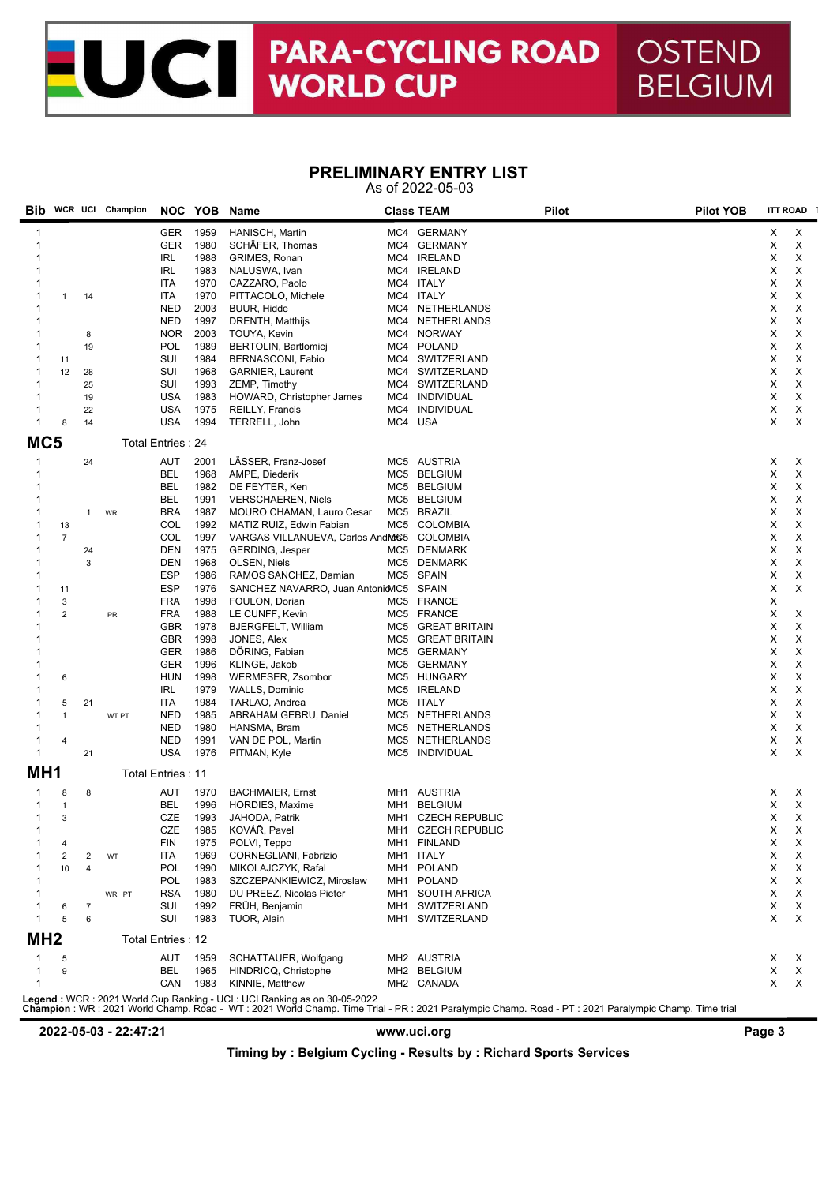### JCI **PARA-CYCLING ROAD WORLD CUP**

### OSTEND **BELGIUM**

### **PRELIMINARY ENTRY LIST**

As of 2022-05-03

| <b>Bib</b>      |                |                | WCR UCI Champion |                    |      | NOC YOB Name                                                            |     | <b>Class TEAM</b><br>Pilot<br><b>Pilot YOB</b>                                                                                                    |   | ITT ROAD |
|-----------------|----------------|----------------|------------------|--------------------|------|-------------------------------------------------------------------------|-----|---------------------------------------------------------------------------------------------------------------------------------------------------|---|----------|
| $\mathbf 1$     |                |                |                  | <b>GER</b>         | 1959 | HANISCH, Martin                                                         |     | MC4 GERMANY                                                                                                                                       | х | х        |
| 1               |                |                |                  | GER                | 1980 | SCHÄFER, Thomas                                                         | MC4 | <b>GERMANY</b>                                                                                                                                    | х | х        |
| 1               |                |                |                  | <b>IRL</b>         | 1988 | GRIMES, Ronan                                                           | MC4 | IRELAND                                                                                                                                           | Х | х        |
| 1               |                |                |                  | <b>IRL</b>         | 1983 | NALUSWA, Ivan                                                           | MC4 | <b>IRELAND</b>                                                                                                                                    | х | х        |
| 1               |                |                |                  | ITA                | 1970 | CAZZARO, Paolo                                                          | MC4 | ITALY                                                                                                                                             | Х | х        |
| 1               | $\mathbf{1}$   | 14             |                  | ITA                | 1970 | PITTACOLO, Michele                                                      | MC4 | ITALY                                                                                                                                             | х | х        |
| 1               |                |                |                  | NED                | 2003 | <b>BUUR, Hidde</b>                                                      | MC4 | NETHERLANDS                                                                                                                                       | х | х        |
| 1               |                |                |                  | <b>NED</b>         | 1997 | DRENTH, Matthijs                                                        | MC4 | NETHERLANDS                                                                                                                                       | х | х        |
| 1               |                | 8              |                  | <b>NOR</b>         | 2003 | TOUYA, Kevin                                                            | MC4 | NORWAY                                                                                                                                            | X | х        |
| 1               |                | 19             |                  | <b>POL</b>         | 1989 | <b>BERTOLIN, Bartlomiej</b>                                             | MC4 | POLAND                                                                                                                                            | х | х        |
| 1               | 11             |                |                  | SUI                | 1984 | BERNASCONI, Fabio                                                       |     | MC4 SWITZERLAND                                                                                                                                   | Х | х        |
| 1               | 12             | 28             |                  | SUI                | 1968 | <b>GARNIER, Laurent</b>                                                 | MC4 | SWITZERLAND                                                                                                                                       | х | х        |
| 1               |                | 25             |                  | SUI                | 1993 | ZEMP, Timothy                                                           | MC4 | SWITZERLAND                                                                                                                                       | X | х        |
| 1               |                | 19             |                  | USA                | 1983 | HOWARD, Christopher James                                               | MC4 | INDIVIDUAL                                                                                                                                        | х | Х        |
| $\mathbf{1}$    |                | 22             |                  | USA                | 1975 | REILLY, Francis                                                         | MC4 | INDIVIDUAL                                                                                                                                        | х | х        |
| $\mathbf{1}$    | 8              | 14             |                  | USA                | 1994 | TERRELL, John                                                           |     | MC4 USA                                                                                                                                           | X | Х        |
| MC <sub>5</sub> |                |                |                  | Total Entries : 24 |      |                                                                         |     |                                                                                                                                                   |   |          |
| 1               |                | 24             |                  | AUT                | 2001 | LÄSSER, Franz-Josef                                                     |     | MC5 AUSTRIA                                                                                                                                       | X | X        |
| 1               |                |                |                  | BEL                | 1968 | AMPE, Diederik                                                          |     | MC5 BELGIUM                                                                                                                                       | X | X        |
| 1               |                |                |                  | BEL                | 1982 | DE FEYTER, Ken                                                          |     | MC5 BELGIUM                                                                                                                                       | х | х        |
| 1               |                |                |                  | BEL                | 1991 | <b>VERSCHAEREN, Niels</b>                                               |     | MC5 BELGIUM                                                                                                                                       | X | X        |
| 1               |                | $\mathbf{1}$   | WR               | <b>BRA</b>         | 1987 | <b>MOURO CHAMAN, Lauro Cesar</b>                                        |     | MC5 BRAZIL                                                                                                                                        | X | X        |
| 1               | 13             |                |                  | COL                | 1992 | MATIZ RUIZ, Edwin Fabian                                                |     | MC5 COLOMBIA                                                                                                                                      | X | X        |
| 1               | $\overline{7}$ |                |                  | COL                | 1997 | VARGAS VILLANUEVA, Carlos AndM65 COLOMBIA                               |     |                                                                                                                                                   | X | X        |
| 1               |                | 24             |                  | DEN                | 1975 | <b>GERDING, Jesper</b>                                                  |     | MC5 DENMARK                                                                                                                                       | X | X        |
| 1               |                | 3              |                  | DEN                | 1968 | <b>OLSEN, Niels</b>                                                     |     | MC5 DENMARK                                                                                                                                       | х | X        |
| 1               |                |                |                  | <b>ESP</b>         | 1986 | RAMOS SANCHEZ, Damian                                                   |     | MC5 SPAIN                                                                                                                                         | X | х        |
| 1               | 11             |                |                  | <b>ESP</b>         | 1976 | SANCHEZ NAVARRO, Juan AntonidMC5 SPAIN                                  |     |                                                                                                                                                   | X | X        |
| 1               | 3              |                |                  | <b>FRA</b>         | 1998 | FOULON, Dorian                                                          |     | MC5 FRANCE                                                                                                                                        | X |          |
| 1               | $\overline{2}$ |                | PR               | <b>FRA</b>         | 1988 | LE CUNFF, Kevin                                                         |     | MC5 FRANCE                                                                                                                                        | X | X        |
|                 |                |                |                  | <b>GBR</b>         | 1978 | <b>BJERGFELT, William</b>                                               |     | MC5 GREAT BRITAIN                                                                                                                                 | X | X        |
|                 |                |                |                  | <b>GBR</b>         | 1998 | JONES, Alex                                                             |     | MC5 GREAT BRITAIN                                                                                                                                 | X | X        |
|                 |                |                |                  | GER                | 1986 | DÖRING, Fabian                                                          |     | MC5 GERMANY                                                                                                                                       | X | X        |
|                 |                |                |                  | GER                | 1996 | KLINGE, Jakob                                                           |     | MC5 GERMANY                                                                                                                                       | X | X        |
| 1               | 6              |                |                  | HUN                | 1998 | WERMESER, Zsombor                                                       |     | MC5 HUNGARY                                                                                                                                       | X | X        |
| 1               |                |                |                  | IRL                | 1979 | <b>WALLS, Dominic</b>                                                   |     | MC5 IRELAND                                                                                                                                       | X | X        |
| 1               | 5              | 21             |                  | ITA                | 1984 | TARLAO, Andrea                                                          |     | MC5 ITALY                                                                                                                                         | X | X        |
| 1               | $\overline{1}$ |                | WT PT            | NED                | 1985 | ABRAHAM GEBRU, Daniel                                                   |     | MC5 NETHERLANDS                                                                                                                                   | X | X        |
| 1               |                |                |                  | NED                | 1980 | HANSMA, Bram                                                            | MC5 | NETHERLANDS                                                                                                                                       | X | X        |
| 1               | 4              |                |                  | <b>NED</b>         | 1991 | VAN DE POL, Martin                                                      | MC5 | NETHERLANDS                                                                                                                                       | X | х        |
| $\mathbf{1}$    |                | 21             |                  | <b>USA</b>         | 1976 | PITMAN, Kyle                                                            |     | MC5 INDIVIDUAL                                                                                                                                    | X | X        |
| MH <sub>1</sub> |                |                |                  | Total Entries: 11  |      |                                                                         |     |                                                                                                                                                   |   |          |
| 1               | 8              | 8              |                  | AUT                | 1970 | <b>BACHMAIER, Ernst</b>                                                 |     | MH1 AUSTRIA                                                                                                                                       | X | Х        |
| 1               | $\mathbf{1}$   |                |                  | <b>BEL</b>         | 1996 | HORDIES, Maxime                                                         |     | MH1 BELGIUM                                                                                                                                       | X | X        |
| 1               | 3              |                |                  | <b>CZE</b>         | 1993 | JAHODA, Patrik                                                          |     | MH1 CZECH REPUBLIC                                                                                                                                | X | X        |
| 1               |                |                |                  | CZE                | 1985 | KOVÁŘ, Pavel                                                            |     | MH1 CZECH REPUBLIC                                                                                                                                | х | х        |
| 1               | 4              |                |                  | FIN                | 1975 | POLVI, Teppo                                                            |     | MH1 FINLAND                                                                                                                                       | х | х        |
|                 | 2              | 2              | WT               | ITA                | 1969 | CORNEGLIANI, Fabrizio                                                   |     | MH1 ITALY                                                                                                                                         | Х | Х        |
| 1               | 10             | 4              |                  | <b>POL</b>         | 1990 | MIKOLAJCZYK, Rafal                                                      |     | MH1 POLAND                                                                                                                                        | Х | х        |
| 1               |                |                |                  | <b>POL</b>         | 1983 | SZCZEPANKIEWICZ, Miroslaw                                               |     | MH1 POLAND                                                                                                                                        | х | Х        |
| 1               |                |                | WR PT            | RSA                | 1980 | DU PREEZ, Nicolas Pieter                                                |     | MH1 SOUTH AFRICA                                                                                                                                  | х | х        |
| 1               | 6              | $\overline{7}$ |                  | SUI                | 1992 | FRÜH, Benjamin                                                          |     | MH1 SWITZERLAND                                                                                                                                   | х | х        |
|                 | 5              | 6              |                  | SUI                | 1983 | TUOR, Alain                                                             |     | MH1 SWITZERLAND                                                                                                                                   | X | х        |
| MH <sub>2</sub> |                |                |                  | Total Entries: 12  |      |                                                                         |     |                                                                                                                                                   |   |          |
|                 | 5              |                |                  | AUT                | 1959 | SCHATTAUER, Wolfgang                                                    |     | MH2 AUSTRIA                                                                                                                                       | Х | х        |
| 1               | 9              |                |                  | BEL                | 1965 | HINDRICQ, Christophe                                                    |     | MH2 BELGIUM                                                                                                                                       | х | х        |
| 1               |                |                |                  | CAN                | 1983 | KINNIE, Matthew                                                         |     | MH2 CANADA                                                                                                                                        | X | Х        |
|                 |                |                |                  |                    |      | Legend: WCR: 2021 World Cup Ranking - UCI: UCI Ranking as on 30-05-2022 |     | Champion: WR: 2021 World Champ. Road - WT: 2021 World Champ. Time Trial - PR: 2021 Paralympic Champ. Road - PT: 2021 Paralympic Champ. Time trial |   |          |

**2022-05-03 - 22:47:21 www.uci.org Page 3**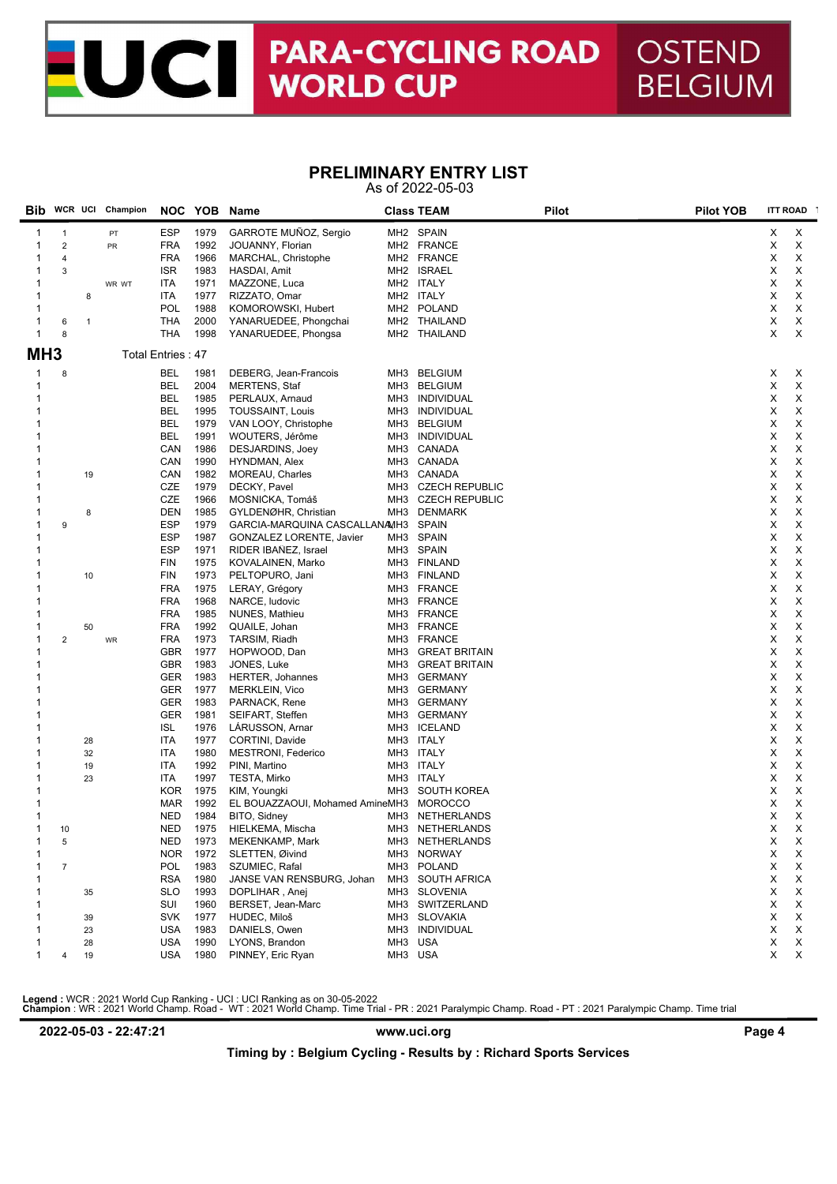### CH PARA-CYCLII PARA-CYCLING ROAD OSTEND

### **PRELIMINARY ENTRY LIST**

As of 2022-05-03

| Bib             |                         |          | WCR UCI Champion |                          | NOC YOB      | Name                               |            | <b>Class TEAM</b>         | Pilot | <b>Pilot YOB</b> | <b>ITT ROAD</b> |        |
|-----------------|-------------------------|----------|------------------|--------------------------|--------------|------------------------------------|------------|---------------------------|-------|------------------|-----------------|--------|
| -1              | 1                       |          | PT               | ESP                      | 1979         | GARROTE MUÑOZ, Sergio              |            | MH2 SPAIN                 |       |                  | х               | X      |
| 1               | $\overline{\mathbf{c}}$ |          | PR               | <b>FRA</b>               | 1992         | JOUANNY, Florian                   |            | MH2 FRANCE                |       |                  | х               | х      |
| 1               | $\overline{4}$          |          |                  | <b>FRA</b>               | 1966         | MARCHAL, Christophe                |            | MH2 FRANCE                |       |                  | х               | х      |
|                 | 3                       |          |                  | <b>ISR</b>               | 1983         | HASDAI, Amit                       |            | MH2 ISRAEL                |       |                  | х               | х      |
| 1               |                         |          | WR WT            | ITA                      | 1971         | MAZZONE, Luca                      |            | MH2 ITALY                 |       |                  | Χ               | х      |
| 1               |                         | 8        |                  | ITA                      | 1977         | RIZZATO, Omar                      |            | MH2 ITALY                 |       |                  | X               | х      |
| 1               |                         |          |                  | POL                      | 1988         | KOMOROWSKI, Hubert                 |            | MH2 POLAND                |       |                  | Χ               | X      |
| 1               | 6                       | 1        |                  | THA                      | 2000         | YANARUEDEE, Phongchai              |            | MH2 THAILAND              |       |                  | х               | X      |
| $\mathbf 1$     | 8                       |          |                  | THA                      | 1998         | YANARUEDEE, Phongsa                |            | MH2 THAILAND              |       |                  | X               | X      |
| MH <sub>3</sub> |                         |          |                  | Total Entries: 47        |              |                                    |            |                           |       |                  |                 |        |
| 1               | 8                       |          |                  | BEL                      | 1981         | DEBERG, Jean-Francois              | МНЗ        | <b>BELGIUM</b>            |       |                  | X               | X      |
| 1               |                         |          |                  | <b>BEL</b>               | 2004         | <b>MERTENS, Staf</b>               | МНЗ        | <b>BELGIUM</b>            |       |                  | X               | X      |
| 1               |                         |          |                  | <b>BEL</b>               | 1985         | PERLAUX, Arnaud                    | МНЗ        | <b>INDIVIDUAL</b>         |       |                  | X               | X      |
|                 |                         |          |                  | <b>BEL</b>               | 1995         | <b>TOUSSAINT, Louis</b>            | МНЗ        | INDIVIDUAL                |       |                  | X               | X      |
|                 |                         |          |                  | <b>BEL</b>               | 1979         | VAN LOOY, Christophe               | МНЗ        | <b>BELGIUM</b>            |       |                  | X               | X      |
|                 |                         |          |                  | <b>BEL</b>               | 1991         | WOUTERS, Jérôme                    | МНЗ        | INDIVIDUAL                |       |                  | Χ               | х      |
|                 |                         |          |                  | CAN                      | 1986         | DESJARDINS, Joey                   | МНЗ        | CANADA                    |       |                  | X               | X      |
|                 |                         |          |                  | CAN                      | 1990         | HYNDMAN, Alex                      |            | MH3 CANADA                |       |                  | X               | X      |
| 1               |                         | 19       |                  | CAN                      | 1982         | MOREAU, Charles                    | МНЗ        | CANADA                    |       |                  | X               | X      |
|                 |                         |          |                  | CZE                      | 1979         | DĚCKÝ, Pavel                       |            | MH3 CZECH REPUBLIC        |       |                  | Χ               | х      |
| 1               |                         |          |                  | <b>CZE</b>               | 1966         | MOŠNIČKA, Tomáš                    | МНЗ        | <b>CZECH REPUBLIC</b>     |       |                  | X               | X      |
| 1               |                         | 8        |                  | <b>DEN</b>               | 1985         | GYLDENØHR, Christian               | МНЗ        | <b>DENMARK</b>            |       |                  | X               | X      |
| $\mathbf 1$     | 9                       |          |                  | <b>ESP</b>               | 1979         | GARCIA-MARQUINA CASCALLANAMH3      |            | <b>SPAIN</b>              |       |                  | X               | X      |
| 1               |                         |          |                  | <b>ESP</b>               | 1987         | GONZALEZ LORENTE, Javier           |            | MH3 SPAIN                 |       |                  | Χ               | х      |
| 1               |                         |          |                  | <b>ESP</b>               | 1971         | RIDER IBAÑEZ, Israel               |            | MH3 SPAIN                 |       |                  | X               | X      |
|                 |                         |          |                  | <b>FIN</b>               | 1975         | KOVALAINEN, Marko                  |            | MH3 FINLAND               |       |                  | X               | X      |
| 1               |                         | 10       |                  | <b>FIN</b>               | 1973         | PELTOPURO, Jani                    |            | MH3 FINLAND               |       |                  | X               | X      |
| -1              |                         |          |                  | <b>FRA</b>               | 1975         | LERAY, Grégory                     |            | MH3 FRANCE                |       |                  | Χ               | х      |
|                 |                         |          |                  | <b>FRA</b>               | 1968         | NARCE, ludovic                     | МНЗ        | FRANCE                    |       |                  | X               | X      |
| -1              |                         |          |                  | <b>FRA</b>               | 1985         | NUNES, Mathieu                     |            | MH3 FRANCE                |       |                  | X               | X      |
| -1              |                         | 50       |                  | <b>FRA</b>               | 1992         | QUAILE, Johan                      |            | MH3 FRANCE                |       |                  | X               | X      |
|                 | $\overline{2}$          |          | WR               | <b>FRA</b>               | 1973         | TARSIM, Riadh                      |            | MH3 FRANCE                |       |                  | Χ               | х      |
| 1               |                         |          |                  | <b>GBR</b>               | 1977         | HOPWOOD, Dan                       |            | MH3 GREAT BRITAIN         |       |                  | X               | X      |
|                 |                         |          |                  | <b>GBR</b>               | 1983         | JONES, Luke                        |            | MH3 GREAT BRITAIN         |       |                  | X               | X      |
|                 |                         |          |                  | <b>GER</b>               | 1983         | <b>HERTER, Johannes</b>            | МНЗ        | GERMANY                   |       |                  | X               | X      |
|                 |                         |          |                  | <b>GER</b>               | 1977         | <b>MERKLEIN, Vico</b>              |            | MH3 GERMANY               |       |                  | X               | х      |
|                 |                         |          |                  | <b>GER</b><br><b>GER</b> | 1983         | PARNACK, Rene                      |            | MH3 GERMANY               |       |                  | X<br>X          | X<br>X |
|                 |                         |          |                  | <b>ISL</b>               | 1981<br>1976 | SEIFART, Steffen                   | МНЗ<br>МНЗ | GERMANY<br><b>ICELAND</b> |       |                  | X               | X      |
|                 |                         |          |                  | ITA                      | 1977         | LARUSSON, Arnar<br>CORTINI, Davide |            | MH3 ITALY                 |       |                  | X               | х      |
|                 |                         | 28<br>32 |                  | ITA                      | 1980         | <b>MESTRONI, Federico</b>          |            | MH3 ITALY                 |       |                  | X               | X      |
| -1              |                         | 19       |                  | ITA                      | 1992         | PINI, Martino                      |            | MH3 ITALY                 |       |                  | X               | X      |
| 1               |                         | 23       |                  | ITA                      | 1997         | TESTA, Mirko                       | МНЗ        | ITALY                     |       |                  | X               | х      |
| 1               |                         |          |                  | <b>KOR</b>               | 1975         | KIM, Youngki                       | МНЗ        | <b>SOUTH KOREA</b>        |       |                  | X               | х      |
| 1               |                         |          |                  | <b>MAR</b>               | 1992         | EL BOUAZZAOUI, Mohamed AmineMH3    |            | <b>MOROCCO</b>            |       |                  | X               | X      |
| 1               |                         |          |                  | <b>NED</b>               | 1984         | BITO, Sidney                       | МНЗ        | NETHERLANDS               |       |                  | X               | X      |
| 1               | 10                      |          |                  | <b>NED</b>               | 1975         | HIELKEMA, Mischa                   |            | MH3 NETHERLANDS           |       |                  | Χ               | X      |
| -1              | 5                       |          |                  | <b>NED</b>               | 1973         | MEKENKAMP, Mark                    |            | MH3 NETHERLANDS           |       |                  | Х               | Х      |
|                 |                         |          |                  | <b>NOR</b>               | 1972         | SLETTEN, Øivind                    |            | MH3 NORWAY                |       |                  | X               | X      |
|                 | $\overline{7}$          |          |                  | POL                      | 1983         | SZUMIEC, Rafal                     |            | MH3 POLAND                |       |                  | х               | X      |
|                 |                         |          |                  | <b>RSA</b>               | 1980         | JANSE VAN RENSBURG, Johan          |            | MH3 SOUTH AFRICA          |       |                  | х               | X      |
|                 |                         | 35       |                  | <b>SLO</b>               | 1993         | DOPLIHAR, Anej                     |            | MH3 SLOVENIA              |       |                  | х               | X      |
|                 |                         |          |                  | SUI                      | 1960         | BERSET, Jean-Marc                  |            | MH3 SWITZERLAND           |       |                  | X               | X      |
|                 |                         | 39       |                  | <b>SVK</b>               | 1977         | HUDEC, Miloš                       |            | MH3 SLOVAKIA              |       |                  | х               | X      |
|                 |                         | 23       |                  | <b>USA</b>               | 1983         | DANIELS, Owen                      |            | MH3 INDIVIDUAL            |       |                  | X               | X      |
|                 |                         | 28       |                  | <b>USA</b>               | 1990         | LYONS, Brandon                     | MH3 USA    |                           |       |                  | X               | X      |
| 1               | 4                       | 19       |                  | <b>USA</b>               | 1980         | PINNEY, Eric Ryan                  | MH3 USA    |                           |       |                  | X               | X      |

Legend : WCR : 2021 World Cup Ranking - UCI : UCI Ranking as on 30-05-2022<br>Champion : WR : 2021 World Champ. Road - WT : 2021 World Champ. Time Trial - PR : 2021 Paralympic Champ. Road - PT : 2021 Paralympic Champ. Time t

**2022-05-03 - 22:47:21 www.uci.org Page 4**

**BELGIUM**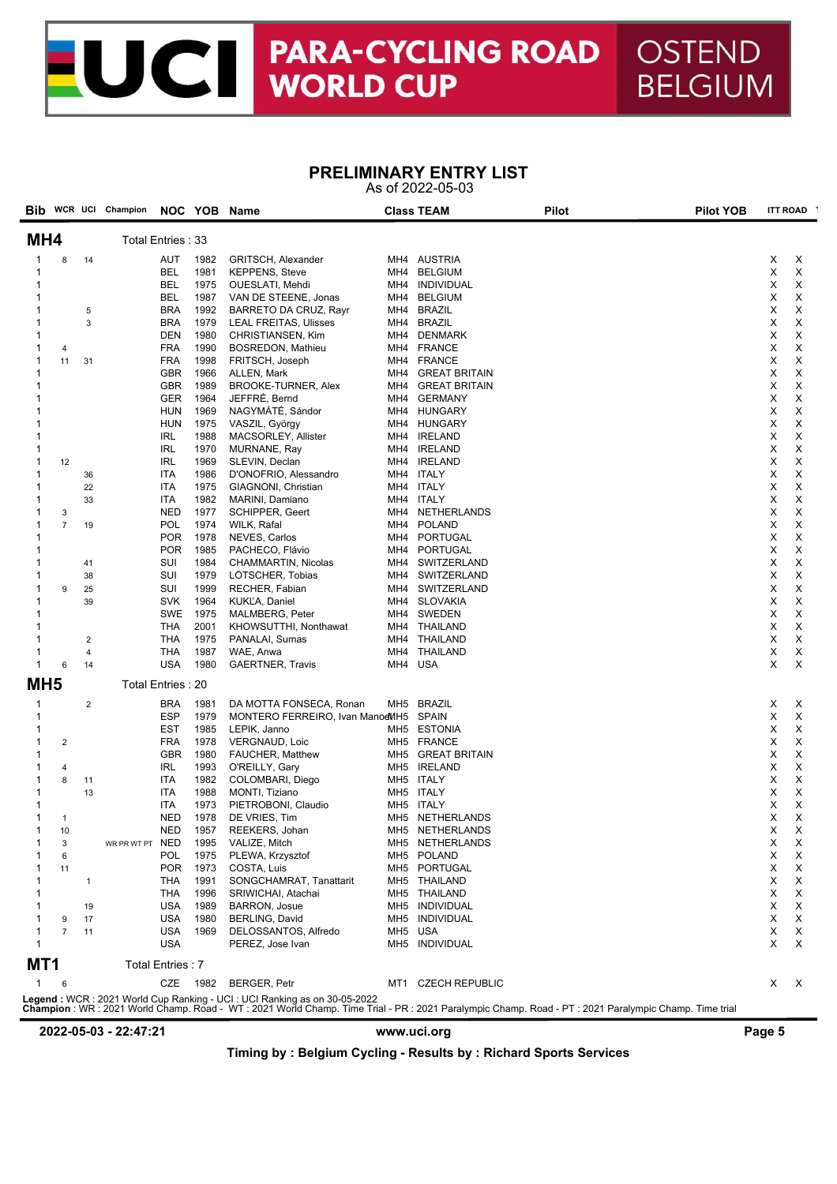## UCC PARA-CYCLING ROAD OSTEND<br>WORLD CUP BELGIUM

### **PRELIMINARY ENTRY LIST**

As of 2022-05-03

| Bib.            |                         |                         | WCR UCI Champion      |                          |              | NOC YOB Name                                                               |                 | Pilot<br><b>Class TEAM</b><br><b>Pilot YOB</b>                                                                                                         |        | <b>ITT ROAD</b> |
|-----------------|-------------------------|-------------------------|-----------------------|--------------------------|--------------|----------------------------------------------------------------------------|-----------------|--------------------------------------------------------------------------------------------------------------------------------------------------------|--------|-----------------|
| MH4             |                         |                         | Total Entries: 33     |                          |              |                                                                            |                 |                                                                                                                                                        |        |                 |
|                 | 8                       | 14                      |                       | AUT                      | 1982         | GRITSCH, Alexander                                                         |                 | MH4 AUSTRIA                                                                                                                                            | х      | X               |
| 1               |                         |                         |                       | BEL                      | 1981         | <b>KEPPENS, Steve</b>                                                      | MH4             | <b>BELGIUM</b>                                                                                                                                         | X      | X               |
| 1               |                         |                         |                       | BEL                      | 1975         | OUESLATI, Mehdi                                                            |                 | MH4 INDIVIDUAL                                                                                                                                         | х      | X               |
| 1               |                         |                         |                       | BEL                      | 1987         | VAN DE STEENE, Jonas                                                       | MH4             | <b>BELGIUM</b>                                                                                                                                         | х      | X               |
|                 |                         | 5                       |                       | <b>BRA</b>               | 1992         | BARRETO DA CRUZ, Rayr                                                      |                 | MH4 BRAZIL                                                                                                                                             | х      | X               |
| 1               |                         | 3                       |                       | <b>BRA</b>               | 1979         | <b>LEAL FREITAS, Ulisses</b>                                               |                 | MH4 BRAZIL                                                                                                                                             | х      | X               |
| 1               |                         |                         |                       | <b>DEN</b>               | 1980         | CHRISTIANSEN, Kim                                                          |                 | MH4 DENMARK                                                                                                                                            | X      | X               |
| 1               | 4                       |                         |                       | <b>FRA</b>               | 1990         | <b>BOSREDON, Mathieu</b>                                                   |                 | MH4 FRANCE                                                                                                                                             | х      | X               |
|                 | 11                      | 31                      |                       | <b>FRA</b>               | 1998         | FRITSCH, Joseph                                                            |                 | MH4 FRANCE                                                                                                                                             | х      | X               |
|                 |                         |                         |                       | <b>GBR</b>               | 1966         | <b>ALLEN, Mark</b>                                                         |                 | MH4 GREAT BRITAIN                                                                                                                                      | х      | X               |
|                 |                         |                         |                       | <b>GBR</b>               | 1989         | <b>BROOKE-TURNER, Alex</b>                                                 |                 | MH4 GREAT BRITAIN                                                                                                                                      | X      | X               |
|                 |                         |                         |                       | <b>GER</b>               | 1964         | JEFFRÉ, Bernd                                                              |                 | MH4 GERMANY                                                                                                                                            | х      | X               |
|                 |                         |                         |                       | HUN                      | 1969         | NAGYMÁTÉ, Sándor                                                           |                 | MH4 HUNGARY                                                                                                                                            | х      | X               |
|                 |                         |                         |                       | <b>HUN</b>               | 1975         | VASZIL, György                                                             |                 | MH4 HUNGARY                                                                                                                                            | х      | X               |
|                 |                         |                         |                       | <b>IRL</b>               | 1988         | MACSORLEY, Allister                                                        |                 | MH4 IRELAND                                                                                                                                            | X      | X               |
| 1               |                         |                         |                       | <b>IRL</b>               | 1970         | MURNANE, Ray                                                               |                 | MH4 IRELAND                                                                                                                                            | х      | X               |
| 1               | 12                      |                         |                       | <b>IRL</b>               | 1969         | SLEVIN, Declan                                                             |                 | MH4 IRELAND                                                                                                                                            | X      | X               |
| 1               |                         | 36                      |                       | ITA                      | 1986         | D'ONOFRIO, Alessandro                                                      |                 | MH4 ITALY                                                                                                                                              | х      | X               |
| 1               |                         | 22                      |                       | ITA                      | 1975         | GIAGNONI, Christian                                                        |                 | MH4 ITALY                                                                                                                                              | х      | X               |
| 1               |                         | 33                      |                       | ITA                      | 1982         | MARINI, Damiano                                                            |                 | MH4 ITALY                                                                                                                                              | х      | X               |
|                 | 3                       |                         |                       | <b>NED</b>               | 1977         | SCHIPPER, Geert                                                            |                 | MH4 NETHERLANDS                                                                                                                                        | X      | X               |
| 1               | $\overline{7}$          | 19                      |                       | POL<br><b>POR</b>        | 1974<br>1978 | WILK, Rafal<br>NEVES, Carlos                                               |                 | MH4 POLAND                                                                                                                                             | х      | X               |
| 1               |                         |                         |                       | <b>POR</b>               | 1985         | PACHECO, Flávio                                                            |                 | MH4 PORTUGAL<br>MH4 PORTUGAL                                                                                                                           | X<br>х | X<br>X          |
|                 |                         |                         |                       | SUI                      | 1984         | CHAMMARTIN, Nicolas                                                        |                 | MH4 SWITZERLAND                                                                                                                                        | х      | X               |
| 1               |                         | 41<br>38                |                       | SUI                      | 1979         | LÖTSCHER, Tobias                                                           |                 | MH4 SWITZERLAND                                                                                                                                        | х      | X               |
|                 | 9                       | 25                      |                       | SUI                      | 1999         | RECHER, Fabian                                                             |                 | MH4 SWITZERLAND                                                                                                                                        | X      | X               |
| 1               |                         | 39                      |                       | <b>SVK</b>               | 1964         | KUKĽA, Daniel                                                              |                 | MH4 SLOVAKIA                                                                                                                                           | х      | X               |
|                 |                         |                         |                       | SWE                      | 1975         | MALMBERG, Peter                                                            |                 | MH4 SWEDEN                                                                                                                                             | X      | X               |
|                 |                         |                         |                       | THA                      | 2001         | KHOWSUTTHI, Nonthawat                                                      |                 | MH4 THAILAND                                                                                                                                           | х      | X               |
|                 |                         | 2                       |                       | <b>THA</b>               | 1975         | PANALAI, Sumas                                                             |                 | MH4 THAILAND                                                                                                                                           | х      | X               |
|                 |                         | 4                       |                       | <b>THA</b>               | 1987         | WAE, Anwa                                                                  |                 | MH4 THAILAND                                                                                                                                           | х      | X               |
| $\mathbf{1}$    | 6                       | 14                      |                       | <b>USA</b>               | 1980         | <b>GAERTNER, Travis</b>                                                    |                 | MH4 USA                                                                                                                                                | X      | X               |
| MH <sub>5</sub> |                         |                         | Total Entries: 20     |                          |              |                                                                            |                 |                                                                                                                                                        |        |                 |
|                 |                         |                         |                       |                          |              |                                                                            |                 |                                                                                                                                                        |        |                 |
| 1               |                         | $\overline{\mathbf{c}}$ |                       | <b>BRA</b>               | 1981         | DA MOTTA FONSECA, Ronan                                                    |                 | MH5 BRAZIL                                                                                                                                             | х      | X               |
| 1               |                         |                         |                       | <b>ESP</b>               | 1979         | MONTERO FERREIRO, Ivan ManodMH5 SPAIN                                      |                 |                                                                                                                                                        | X      | X               |
| 1               |                         |                         |                       | <b>EST</b>               | 1985         | LEPIK, Janno                                                               |                 | MH5 ESTONIA                                                                                                                                            | X      | X               |
|                 | $\overline{\mathbf{c}}$ |                         |                       | <b>FRA</b>               | 1978<br>1980 | <b>VERGNAUD, Loic</b>                                                      |                 | MH5 FRANCE                                                                                                                                             | X      | X               |
|                 | 4                       |                         |                       | <b>GBR</b><br><b>IRL</b> | 1993         | FAUCHER, Matthew<br>O'REILLY, Gary                                         | MH <sub>5</sub> | MH5 GREAT BRITAIN<br>IRELAND                                                                                                                           | X<br>X | X<br>X          |
| 1               | 8                       |                         |                       | <b>ITA</b>               | 1982         | COLOMBARI, Diego                                                           |                 | MH5 ITALY                                                                                                                                              | X      | X               |
|                 |                         | 11<br>13                |                       | <b>ITA</b>               | 1988         | MONTI, Tiziano                                                             |                 | MH5 ITALY                                                                                                                                              | X      | X               |
|                 |                         |                         |                       | ITA                      | 1973         | PIETROBONI, Claudio                                                        |                 | MH5 ITALY                                                                                                                                              | X      | X               |
| 1               | $\mathbf{1}$            |                         |                       | <b>NED</b>               | 1978         | DE VRIES, Tim                                                              | MH <sub>5</sub> | NETHERLANDS                                                                                                                                            | X      | X               |
|                 | 10                      |                         |                       | <b>NED</b>               | 1957         | REEKERS, Johan                                                             |                 | MH5 NETHERLANDS                                                                                                                                        | х      | Х               |
|                 | 3                       |                         | WR PR WT PT NED       |                          | 1995         | VALIZE, Mitch                                                              |                 | MH5 NETHERLANDS                                                                                                                                        | х      | Х               |
|                 | 6                       |                         |                       | <b>POL</b>               | 1975         | PLEWA, Krzysztof                                                           |                 | MH5 POLAND                                                                                                                                             | X      | X               |
|                 | 11                      |                         |                       | <b>POR</b>               | 1973         | COSTA, Luis                                                                |                 | MH5 PORTUGAL                                                                                                                                           | х      | X               |
|                 |                         | -1                      |                       | THA                      | 1991         | SONGCHAMRAT, Tanattarit                                                    |                 | MH5 THAILAND                                                                                                                                           | х      | X               |
|                 |                         |                         |                       | THA                      | 1996         | SRIWICHAI, Atachai                                                         |                 | MH5 THAILAND                                                                                                                                           | х      | X               |
|                 |                         | 19                      |                       | <b>USA</b>               | 1989         | <b>BARRON, Josue</b>                                                       | MH5             | INDIVIDUAL                                                                                                                                             | х      | X               |
|                 | 9                       | 17                      |                       | USA                      | 1980         | <b>BERLING, David</b>                                                      | MH5             | INDIVIDUAL                                                                                                                                             | X      | X               |
|                 | $\overline{7}$          | 11                      |                       | <b>USA</b>               | 1969         | DELOSSANTOS, Alfredo                                                       |                 | MH5 USA                                                                                                                                                | х      | X               |
| 1               |                         |                         |                       | <b>USA</b>               |              | PEREZ, Jose Ivan                                                           |                 | MH5 INDIVIDUAL                                                                                                                                         | X      | X               |
| MT1             |                         |                         | Total Entries: 7      |                          |              |                                                                            |                 |                                                                                                                                                        |        |                 |
| 1               | 6                       |                         |                       | CZE                      | 1982         | <b>BERGER, Petr</b>                                                        | MT1             | <b>CZECH REPUBLIC</b>                                                                                                                                  | х      | Х               |
|                 |                         |                         |                       |                          |              | Legend : WCR : 2021 World Cup Ranking - UCI : UCI Ranking as on 30-05-2022 |                 | Champion : WR : 2021 World Champ. Road - WT : 2021 World Champ. Time Trial - PR : 2021 Paralympic Champ. Road - PT : 2021 Paralympic Champ. Time trial |        |                 |
|                 |                         |                         | 2022-05-03 - 22:47:21 |                          |              |                                                                            | www.uci.org     |                                                                                                                                                        | Page 5 |                 |
|                 |                         |                         |                       |                          |              |                                                                            |                 |                                                                                                                                                        |        |                 |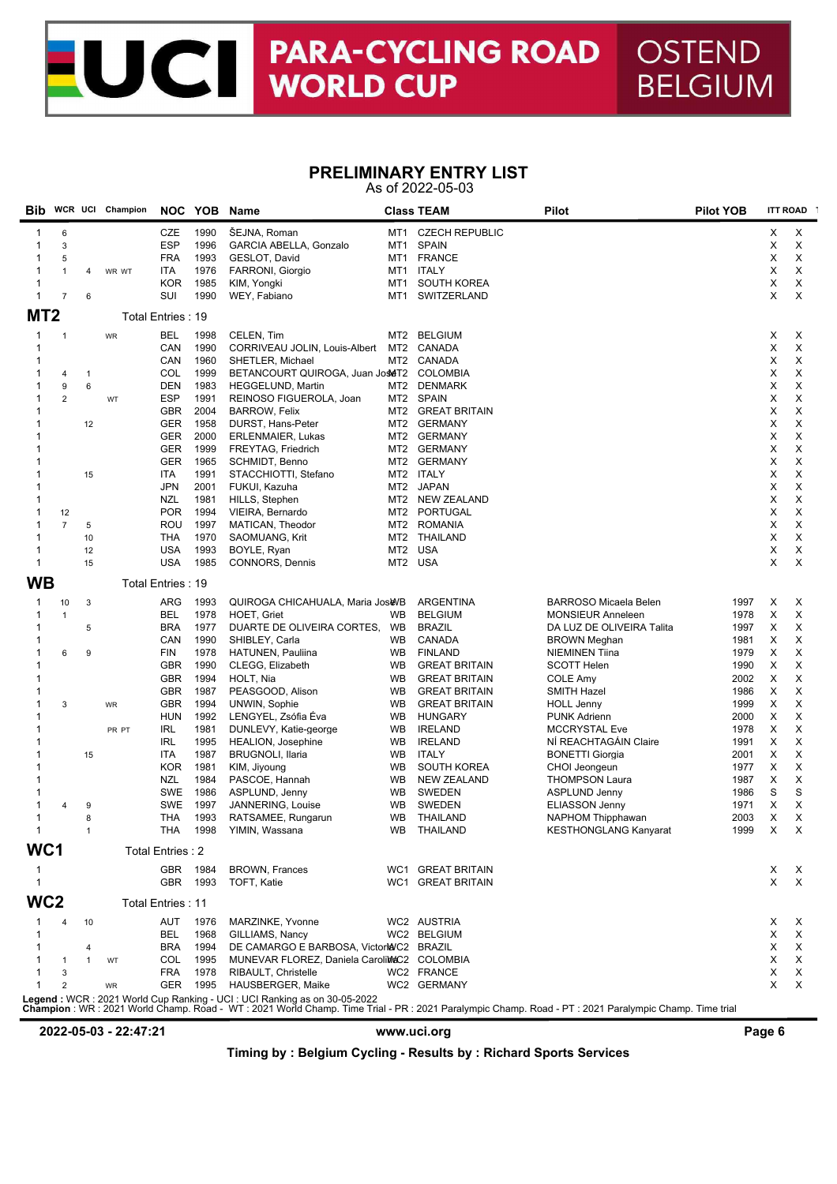### JCI **PARA-CYCLING ROAD WORLD CUP**



#### **PRELIMINARY ENTRY LIST**

As of 2022-05-03

| Bib             |                |                   | WCR UCI Champion |                   | NOC YOB      | Name                                                                       |                        | <b>Class TEAM</b>     | Pilot                                      | <b>Pilot YOB</b> |        | <b>ITT ROAD</b> |
|-----------------|----------------|-------------------|------------------|-------------------|--------------|----------------------------------------------------------------------------|------------------------|-----------------------|--------------------------------------------|------------------|--------|-----------------|
| 1               | 6              |                   |                  | CZE               | 1990         | SEJNA, Roman                                                               | MT1                    | <b>CZECH REPUBLIC</b> |                                            |                  | Х      | Х               |
| 1               | 3              |                   |                  | <b>ESP</b>        | 1996         | GARCIA ABELLA, Gonzalo                                                     | MT1                    | <b>SPAIN</b>          |                                            |                  | X      | X               |
| 1               | 5              |                   |                  | <b>FRA</b>        | 1993         | GESLOT, David                                                              |                        | MT1 FRANCE            |                                            |                  | X      | х               |
| 1               | $\mathbf{1}$   | 4                 | WR WT            | ITA               | 1976         | FARRONI, Giorgio                                                           |                        | MT1 ITALY             |                                            |                  | X      | X               |
| 1               |                |                   |                  | <b>KOR</b>        | 1985         | KIM, Yongki                                                                | MT1                    | SOUTH KOREA           |                                            |                  | X      | X               |
| 1               | $\overline{7}$ | 6                 |                  | SUI               | 1990         | WEY, Fabiano                                                               | MT1                    | SWITZERLAND           |                                            |                  | X      | X               |
| MT <sub>2</sub> |                |                   |                  | Total Entries: 19 |              |                                                                            |                        |                       |                                            |                  |        |                 |
| -1              | -1             |                   | WR               | BEL               | 1998         | CELEN, Tim                                                                 | MT2                    | <b>BELGIUM</b>        |                                            |                  | х      | х               |
| 1               |                |                   |                  | CAN               | 1990         | CORRIVEAU JOLIN, Louis-Albert                                              | MT2                    | CANADA                |                                            |                  | X      | X               |
| 1               |                |                   |                  | CAN               | 1960         | SHETLER, Michael                                                           | MT2                    | CANADA                |                                            |                  | X      | х               |
| 1               | 4              | $\mathbf{1}$      |                  | COL               | 1999         | BETANCOURT QUIROGA, Juan JoseT2                                            |                        | COLOMBIA              |                                            |                  | X      | х               |
|                 | 9              | 6                 |                  | DEN               | 1983         | <b>HEGGELUND, Martin</b>                                                   |                        | MT2 DENMARK           |                                            |                  | х      | х               |
| 1               | $\overline{2}$ |                   | WT               | <b>ESP</b>        | 1991         | REINOSO FIGUEROLA, Joan                                                    | MT2                    | SPAIN                 |                                            |                  | X      | х               |
|                 |                |                   |                  | <b>GBR</b>        | 2004         | <b>BARROW, Felix</b>                                                       | MT2                    | <b>GREAT BRITAIN</b>  |                                            |                  | х      | х               |
| 1               |                | 12                |                  | GER               | 1958         | DURST, Hans-Peter                                                          | MT2                    | <b>GERMANY</b>        |                                            |                  | X      | х               |
|                 |                |                   |                  | GER               | 2000         | <b>ERLENMAIER, Lukas</b>                                                   |                        | MT2 GERMANY           |                                            |                  | X      | х               |
|                 |                |                   |                  | <b>GER</b>        | 1999         | FREYTAG, Friedrich                                                         |                        | MT2 GERMANY           |                                            |                  | X      | X               |
|                 |                |                   |                  | <b>GER</b>        | 1965         | SCHMIDT, Benno                                                             |                        | MT2 GERMANY           |                                            |                  | X      | х               |
|                 |                | 15                |                  | ITA               | 1991         | STACCHIOTTI, Stefano                                                       |                        | MT2 ITALY             |                                            |                  | X      | х               |
|                 |                |                   |                  | <b>JPN</b>        | 2001         | FUKUI, Kazuha                                                              |                        | MT2 JAPAN             |                                            |                  | X      | х               |
|                 |                |                   |                  | NZL               | 1981         | HILLS, Stephen                                                             |                        | MT2 NEW ZEALAND       |                                            |                  | X      | х               |
| 1               | 12             |                   |                  | <b>POR</b>        | 1994         | VIEIRA, Bernardo                                                           |                        | MT2 PORTUGAL          |                                            |                  | X      | х               |
| 1               | $\overline{7}$ | 5                 |                  | <b>ROU</b>        | 1997         | MATICAN, Theodor                                                           |                        | MT2 ROMANIA           |                                            |                  | X      | X               |
| 1               |                | 10                |                  | THA               | 1970         | SAOMUANG, Krit                                                             | MT2                    | <b>THAILAND</b>       |                                            |                  | X      | х               |
| 1               |                | 12                |                  | <b>USA</b>        | 1993         | BOYLE, Ryan                                                                | MT2                    | USA                   |                                            |                  | х      | х               |
| 1               |                | 15                |                  | <b>USA</b>        | 1985         | CONNORS, Dennis                                                            | MT2 USA                |                       |                                            |                  | X      | х               |
| <b>WB</b>       |                |                   |                  | Total Entries: 19 |              |                                                                            |                        |                       |                                            |                  |        |                 |
|                 | 10             | 3                 |                  | ARG               | 1993         | QUIROGA CHICAHUALA, Maria JoseVB                                           |                        | ARGENTINA             | BARROSO Micaela Belen                      | 1997             | X      | х               |
| 1               | $\mathbf{1}$   |                   |                  | BEL               | 1978         | HOET, Griet                                                                | <b>WB</b>              | <b>BELGIUM</b>        | <b>MONSIEUR Anneleen</b>                   | 1978             | X      | X               |
| 1               |                | 5                 |                  | <b>BRA</b>        | 1977         | DUARTE DE OLIVEIRA CORTES, WB                                              |                        | <b>BRAZIL</b>         | DA LUZ DE OLIVEIRA Talita                  | 1997             | X      | X               |
| 1               |                |                   |                  | CAN               | 1990         | SHIBLEY, Carla                                                             | <b>WB</b>              | CANADA                | BROWN Meghan                               | 1981             | X      | X               |
| 1               | 6              | 9                 |                  | <b>FIN</b>        | 1978         | <b>HATUNEN, Pauliina</b>                                                   | <b>WB</b>              | <b>FINLAND</b>        | <b>NIEMINEN Tiina</b>                      | 1979             | X      | X               |
|                 |                |                   |                  | <b>GBR</b>        | 1990         | CLEGG, Elizabeth                                                           | <b>WB</b>              | <b>GREAT BRITAIN</b>  | SCOTT Helen                                | 1990             | X      | X               |
|                 |                |                   |                  | GBR               | 1994         | HOLT, Nia                                                                  | <b>WB</b>              | <b>GREAT BRITAIN</b>  | COLE Amy                                   | 2002             | X      | X               |
|                 |                |                   |                  | GBR               | 1987         | PEASGOOD, Alison                                                           | WB                     | <b>GREAT BRITAIN</b>  | SMITH Hazel                                | 1986             | X      | X               |
|                 | 3              |                   | WR               | <b>GBR</b>        | 1994         | UNWIN, Sophie                                                              | <b>WB</b>              | <b>GREAT BRITAIN</b>  | <b>HOLL Jenny</b>                          | 1999             | X      | X               |
|                 |                |                   |                  | <b>HUN</b>        | 1992         | LENGYEL, Zsófia Éva                                                        | <b>WB</b>              | <b>HUNGARY</b>        | <b>PUNK Adrienn</b>                        | 2000             | X      | X               |
|                 |                |                   | PR PT            | IRL               | 1981         | DUNLEVY, Katie-george                                                      | <b>WB</b>              | <b>IRELAND</b>        | <b>MCCRYSTAL Eve</b>                       | 1978             | X      | X               |
|                 |                |                   |                  | <b>IRL</b>        | 1995         | <b>HEALION, Josephine</b>                                                  | WB                     | <b>IRELAND</b>        | NÍ REACHTAGÁIN Claire                      | 1991             | X      | X               |
|                 |                | 15                |                  | ITA               | 1987         | <b>BRUGNOLI, Ilaria</b>                                                    | <b>WB</b>              | <b>ITALY</b>          | BONETTI Giorgia                            | 2001             | X      | х               |
|                 |                |                   |                  | <b>KOR</b>        | 1981         | KIM, Jiyoung                                                               | WB                     | SOUTH KOREA           | CHOI Jeongeun                              | 1977             | X      | X               |
|                 |                |                   |                  | NZL               | 1984         | PASCOE, Hannah                                                             | <b>WB</b>              | <b>NEW ZEALAND</b>    | <b>THOMPSON Laura</b>                      | 1987             | X      | X               |
|                 |                |                   |                  | <b>SWE</b>        | 1986         | ASPLUND, Jenny                                                             | <b>WB</b>              | SWEDEN                | <b>ASPLUND Jenny</b>                       | 1986             | S      | S               |
|                 | 4              | 9                 |                  | SWE               | 1997         | JANNERING, Louise                                                          | WB                     | <b>SWEDEN</b>         | <b>ELIASSON Jenny</b>                      | 1971             | X      | X               |
| 1               |                | 8<br>$\mathbf{1}$ |                  | THA<br>THA        | 1993<br>1998 | RATSAMEE, Rungarun<br>YIMIN, Wassana                                       | <b>WB</b><br><b>WB</b> | THAILAND<br>THAILAND  | NAPHOM Thipphawan<br>KESTHONGLANG Kanyarat | 2003<br>1999     | X<br>X | X<br>х          |
| WC <sub>1</sub> |                |                   |                  | Total Entries : 2 |              |                                                                            |                        |                       |                                            |                  |        |                 |
| 1               |                |                   |                  | GBR               | 1984         | <b>BROWN, Frances</b>                                                      |                        | WC1 GREAT BRITAIN     |                                            |                  | х      | х               |
| 1               |                |                   |                  | <b>GBR</b>        | 1993         | TOFT, Katie                                                                |                        | WC1 GREAT BRITAIN     |                                            |                  | X      | Х               |
| WC <sub>2</sub> |                |                   |                  | Total Entries: 11 |              |                                                                            |                        |                       |                                            |                  |        |                 |
|                 | 4              | 10                |                  | AUT               | 1976         | MARZINKE, Yvonne                                                           |                        | WC2 AUSTRIA           |                                            |                  | х      | х               |
|                 |                |                   |                  | BEL               | 1968         | GILLIAMS, Nancy                                                            |                        | WC2 BELGIUM           |                                            |                  | х      | х               |
| 1               |                | 4                 |                  | <b>BRA</b>        | 1994         | DE CAMARGO E BARBOSA, Victoria/C2 BRAZIL                                   |                        |                       |                                            |                  | х      | Х               |
| 1               | 1              | 1                 | WT               | COL               | 1995         | MUNEVAR FLOREZ, Daniela CaroliMc2 COLOMBIA                                 |                        |                       |                                            |                  | х      | х               |
|                 | 3              |                   |                  | <b>FRA</b>        | 1978         | RIBAULT, Christelle                                                        |                        | WC2 FRANCE            |                                            |                  | х      | х               |
| 1               | 2              |                   | WR               | GER               | 1995         | HAUSBERGER, Maike                                                          |                        | WC2 GERMANY           |                                            |                  | х      | х               |
|                 |                |                   |                  |                   |              | Legend : WCR : 2021 World Cup Ranking - UCI : UCI Ranking as on 30-05-2022 |                        |                       |                                            |                  |        |                 |

**2022-05-03 - 22:47:21 www.uci.org Page 6**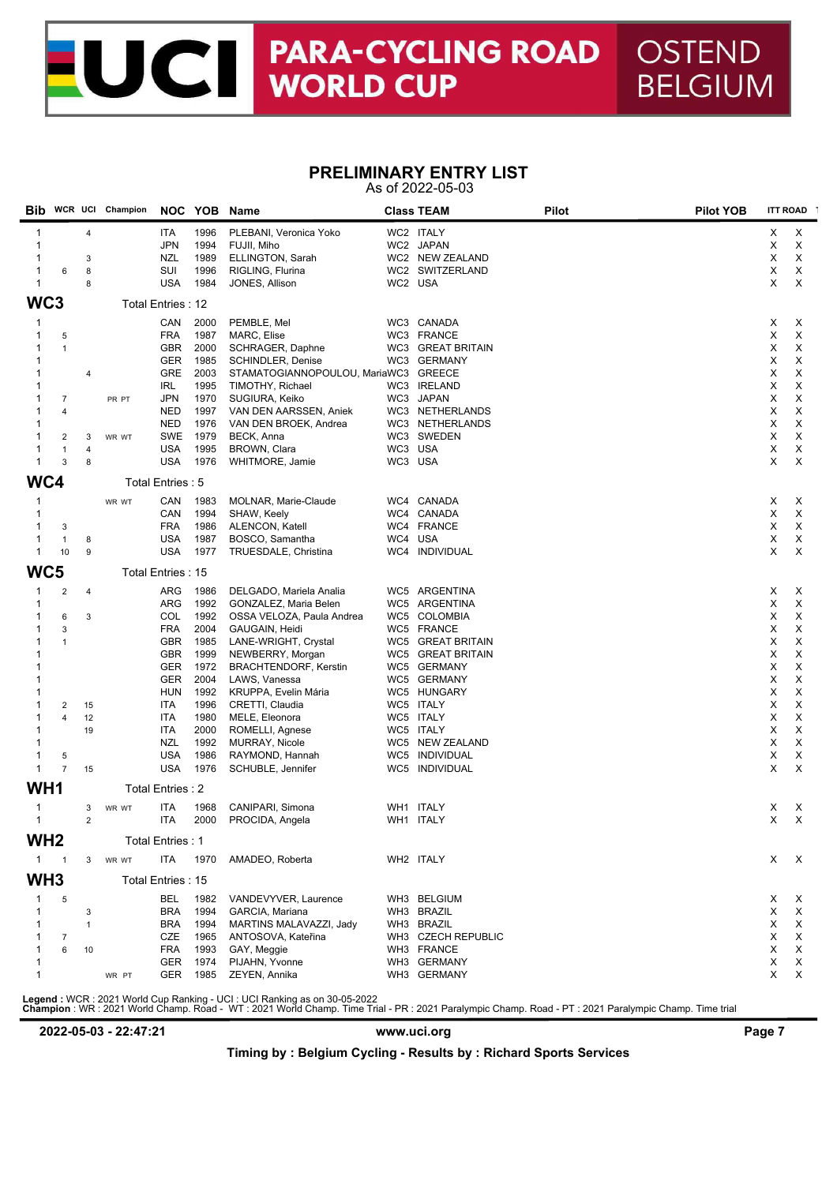## CH PARA-CYCLING ROAD OSTEND<br>WORLD CUP BELGIUM



#### **PRELIMINARY ENTRY LIST**

As of 2022-05-03

| PLEBANI, Veronica Yoko<br>WC2 ITALY<br>1996<br>х<br>4<br>ITA<br>1<br><b>JPN</b><br>X<br>1994<br>FUJII. Miho<br>WC2 JAPAN<br>1<br>X<br>NZL<br>1989<br>ELLINGTON, Sarah<br>WC2 NEW ZEALAND<br>1<br>3<br>SUI<br>X<br>1996<br>RIGLING, Flurina<br>WC2 SWITZERLAND<br>1<br>6<br>8<br>X<br>1<br><b>USA</b><br>1984<br>WC2 USA<br>JONES, Allison<br>8<br>WC3<br>Total Entries: 12<br>PEMBLE, Mel<br>WC3 CANADA<br>х<br>CAN<br>2000<br>1<br><b>FRA</b><br>1987<br>MARC, Elise<br>WC3 FRANCE<br>X<br>1<br>5<br><b>GBR</b><br>2000<br>SCHRAGER, Daphne<br>X<br>1<br><b>WC3 GREAT BRITAIN</b><br>$\mathbf{1}$<br><b>GER</b><br>1985<br>WC3 GERMANY<br>X<br>1<br>SCHINDLER, Denise<br><b>GRE</b><br>2003<br>STAMATOGIANNOPOULOU, MariaWC3<br><b>GREECE</b><br>X<br>1<br>4<br>1995<br>WC3 IRELAND<br>X<br>1<br><b>IRL</b><br>TIMOTHY, Richael<br><b>JPN</b><br>1970<br>WC3 JAPAN<br>X<br>1<br>SUGIURA, Keiko<br>$\overline{7}$<br>PR PT<br>1997<br>WC3 NETHERLANDS<br>X<br>1<br><b>NED</b><br>VAN DEN AARSSEN, Aniek<br>4<br><b>NED</b><br>X<br>1<br>1976<br>VAN DEN BROEK, Andrea<br>WC3 NETHERLANDS<br><b>SWE</b><br>1979<br>WC3<br>X<br>1<br>BECK, Anna<br>SWEDEN<br>2<br>3<br>WR WT<br><b>USA</b><br>1995<br>WC3<br>USA<br>X<br>1<br>$\mathbf{1}$<br>BROWN, Clara<br>4<br><b>USA</b><br>1976<br>WC3 USA<br>X<br>1<br>3<br>WHITMORE, Jamie<br>8<br>WC4<br>Total Entries: 5<br>WC4 CANADA<br>X<br>CAN<br>1983<br>MOLNAR, Marie-Claude<br>1<br>WR WT<br>X<br>CAN<br>1994<br>SHAW, Keely<br>WC4 CANADA<br>1<br>1986<br>X<br><b>FRA</b><br>ALENCON, Katell<br>WC4 FRANCE<br>1<br>3<br>х<br><b>USA</b><br>1987<br>BOSCO, Samantha<br>WC4 USA<br>1<br>$\mathbf{1}$<br>8<br><b>USA</b><br>1977<br>X<br>1<br>10<br>9<br>TRUESDALE, Christina<br>WC4 INDIVIDUAL<br>WC <sub>5</sub><br>Total Entries: 15<br>х<br>ARG<br>1986<br>DELGADO, Mariela Analia<br>WC5 ARGENTINA<br>2<br>1<br>4<br>X<br><b>ARG</b><br>1992<br>GONZALEZ, Maria Belen<br>WC5<br>ARGENTINA<br>1<br>COL<br>1992<br>X<br>OSSA VELOZA, Paula Andrea<br>WC5 COLOMBIA<br>6<br>3<br>1<br>2004<br>X<br>3<br><b>FRA</b><br>GAUGAIN, Heidi<br>WC5<br>FRANCE<br>1<br><b>GBR</b><br>LANE-WRIGHT, Crystal<br>X<br>1985<br>WC5 GREAT BRITAIN<br>1<br>$\mathbf{1}$<br>X<br><b>GBR</b><br>1999<br>1<br>NEWBERRY, Morgan<br>WC <sub>5</sub><br>GREAT BRITAIN<br>X<br>GER<br>1972<br><b>BRACHTENDORF, Kerstin</b><br>WC5 GERMANY<br>1<br><b>GER</b><br>2004<br>X<br>1<br>LAWS, Vanessa<br>WC5<br>GERMANY<br>X<br><b>HUN</b><br>1992<br>KRUPPA, Evelin Mária<br>WC5<br>HUNGARY<br>1<br>X<br>ITA<br>1996<br>CRETTI, Claudia<br>WC5 ITALY<br>1<br>2<br>15<br>X<br>4<br>ITA<br>1980<br>MELE, Eleonora<br>WC5 ITALY<br>1<br>12 | Х<br>х<br>Х<br>х<br>X<br>х<br>X<br>X<br>X<br>X<br>X<br>X<br>X<br>X<br>X<br>X<br>X<br>х<br>X<br>X<br>X |
|-----------------------------------------------------------------------------------------------------------------------------------------------------------------------------------------------------------------------------------------------------------------------------------------------------------------------------------------------------------------------------------------------------------------------------------------------------------------------------------------------------------------------------------------------------------------------------------------------------------------------------------------------------------------------------------------------------------------------------------------------------------------------------------------------------------------------------------------------------------------------------------------------------------------------------------------------------------------------------------------------------------------------------------------------------------------------------------------------------------------------------------------------------------------------------------------------------------------------------------------------------------------------------------------------------------------------------------------------------------------------------------------------------------------------------------------------------------------------------------------------------------------------------------------------------------------------------------------------------------------------------------------------------------------------------------------------------------------------------------------------------------------------------------------------------------------------------------------------------------------------------------------------------------------------------------------------------------------------------------------------------------------------------------------------------------------------------------------------------------------------------------------------------------------------------------------------------------------------------------------------------------------------------------------------------------------------------------------------------------------------------------------------------------------------------------------------------------------------------------------------------------------------------------------------------------------------------------------------------------------------------------------------------------|-------------------------------------------------------------------------------------------------------|
|                                                                                                                                                                                                                                                                                                                                                                                                                                                                                                                                                                                                                                                                                                                                                                                                                                                                                                                                                                                                                                                                                                                                                                                                                                                                                                                                                                                                                                                                                                                                                                                                                                                                                                                                                                                                                                                                                                                                                                                                                                                                                                                                                                                                                                                                                                                                                                                                                                                                                                                                                                                                                                                           |                                                                                                       |
|                                                                                                                                                                                                                                                                                                                                                                                                                                                                                                                                                                                                                                                                                                                                                                                                                                                                                                                                                                                                                                                                                                                                                                                                                                                                                                                                                                                                                                                                                                                                                                                                                                                                                                                                                                                                                                                                                                                                                                                                                                                                                                                                                                                                                                                                                                                                                                                                                                                                                                                                                                                                                                                           |                                                                                                       |
|                                                                                                                                                                                                                                                                                                                                                                                                                                                                                                                                                                                                                                                                                                                                                                                                                                                                                                                                                                                                                                                                                                                                                                                                                                                                                                                                                                                                                                                                                                                                                                                                                                                                                                                                                                                                                                                                                                                                                                                                                                                                                                                                                                                                                                                                                                                                                                                                                                                                                                                                                                                                                                                           |                                                                                                       |
|                                                                                                                                                                                                                                                                                                                                                                                                                                                                                                                                                                                                                                                                                                                                                                                                                                                                                                                                                                                                                                                                                                                                                                                                                                                                                                                                                                                                                                                                                                                                                                                                                                                                                                                                                                                                                                                                                                                                                                                                                                                                                                                                                                                                                                                                                                                                                                                                                                                                                                                                                                                                                                                           |                                                                                                       |
|                                                                                                                                                                                                                                                                                                                                                                                                                                                                                                                                                                                                                                                                                                                                                                                                                                                                                                                                                                                                                                                                                                                                                                                                                                                                                                                                                                                                                                                                                                                                                                                                                                                                                                                                                                                                                                                                                                                                                                                                                                                                                                                                                                                                                                                                                                                                                                                                                                                                                                                                                                                                                                                           |                                                                                                       |
|                                                                                                                                                                                                                                                                                                                                                                                                                                                                                                                                                                                                                                                                                                                                                                                                                                                                                                                                                                                                                                                                                                                                                                                                                                                                                                                                                                                                                                                                                                                                                                                                                                                                                                                                                                                                                                                                                                                                                                                                                                                                                                                                                                                                                                                                                                                                                                                                                                                                                                                                                                                                                                                           |                                                                                                       |
|                                                                                                                                                                                                                                                                                                                                                                                                                                                                                                                                                                                                                                                                                                                                                                                                                                                                                                                                                                                                                                                                                                                                                                                                                                                                                                                                                                                                                                                                                                                                                                                                                                                                                                                                                                                                                                                                                                                                                                                                                                                                                                                                                                                                                                                                                                                                                                                                                                                                                                                                                                                                                                                           |                                                                                                       |
|                                                                                                                                                                                                                                                                                                                                                                                                                                                                                                                                                                                                                                                                                                                                                                                                                                                                                                                                                                                                                                                                                                                                                                                                                                                                                                                                                                                                                                                                                                                                                                                                                                                                                                                                                                                                                                                                                                                                                                                                                                                                                                                                                                                                                                                                                                                                                                                                                                                                                                                                                                                                                                                           |                                                                                                       |
|                                                                                                                                                                                                                                                                                                                                                                                                                                                                                                                                                                                                                                                                                                                                                                                                                                                                                                                                                                                                                                                                                                                                                                                                                                                                                                                                                                                                                                                                                                                                                                                                                                                                                                                                                                                                                                                                                                                                                                                                                                                                                                                                                                                                                                                                                                                                                                                                                                                                                                                                                                                                                                                           |                                                                                                       |
|                                                                                                                                                                                                                                                                                                                                                                                                                                                                                                                                                                                                                                                                                                                                                                                                                                                                                                                                                                                                                                                                                                                                                                                                                                                                                                                                                                                                                                                                                                                                                                                                                                                                                                                                                                                                                                                                                                                                                                                                                                                                                                                                                                                                                                                                                                                                                                                                                                                                                                                                                                                                                                                           |                                                                                                       |
|                                                                                                                                                                                                                                                                                                                                                                                                                                                                                                                                                                                                                                                                                                                                                                                                                                                                                                                                                                                                                                                                                                                                                                                                                                                                                                                                                                                                                                                                                                                                                                                                                                                                                                                                                                                                                                                                                                                                                                                                                                                                                                                                                                                                                                                                                                                                                                                                                                                                                                                                                                                                                                                           |                                                                                                       |
|                                                                                                                                                                                                                                                                                                                                                                                                                                                                                                                                                                                                                                                                                                                                                                                                                                                                                                                                                                                                                                                                                                                                                                                                                                                                                                                                                                                                                                                                                                                                                                                                                                                                                                                                                                                                                                                                                                                                                                                                                                                                                                                                                                                                                                                                                                                                                                                                                                                                                                                                                                                                                                                           |                                                                                                       |
|                                                                                                                                                                                                                                                                                                                                                                                                                                                                                                                                                                                                                                                                                                                                                                                                                                                                                                                                                                                                                                                                                                                                                                                                                                                                                                                                                                                                                                                                                                                                                                                                                                                                                                                                                                                                                                                                                                                                                                                                                                                                                                                                                                                                                                                                                                                                                                                                                                                                                                                                                                                                                                                           |                                                                                                       |
|                                                                                                                                                                                                                                                                                                                                                                                                                                                                                                                                                                                                                                                                                                                                                                                                                                                                                                                                                                                                                                                                                                                                                                                                                                                                                                                                                                                                                                                                                                                                                                                                                                                                                                                                                                                                                                                                                                                                                                                                                                                                                                                                                                                                                                                                                                                                                                                                                                                                                                                                                                                                                                                           |                                                                                                       |
|                                                                                                                                                                                                                                                                                                                                                                                                                                                                                                                                                                                                                                                                                                                                                                                                                                                                                                                                                                                                                                                                                                                                                                                                                                                                                                                                                                                                                                                                                                                                                                                                                                                                                                                                                                                                                                                                                                                                                                                                                                                                                                                                                                                                                                                                                                                                                                                                                                                                                                                                                                                                                                                           |                                                                                                       |
|                                                                                                                                                                                                                                                                                                                                                                                                                                                                                                                                                                                                                                                                                                                                                                                                                                                                                                                                                                                                                                                                                                                                                                                                                                                                                                                                                                                                                                                                                                                                                                                                                                                                                                                                                                                                                                                                                                                                                                                                                                                                                                                                                                                                                                                                                                                                                                                                                                                                                                                                                                                                                                                           |                                                                                                       |
|                                                                                                                                                                                                                                                                                                                                                                                                                                                                                                                                                                                                                                                                                                                                                                                                                                                                                                                                                                                                                                                                                                                                                                                                                                                                                                                                                                                                                                                                                                                                                                                                                                                                                                                                                                                                                                                                                                                                                                                                                                                                                                                                                                                                                                                                                                                                                                                                                                                                                                                                                                                                                                                           |                                                                                                       |
|                                                                                                                                                                                                                                                                                                                                                                                                                                                                                                                                                                                                                                                                                                                                                                                                                                                                                                                                                                                                                                                                                                                                                                                                                                                                                                                                                                                                                                                                                                                                                                                                                                                                                                                                                                                                                                                                                                                                                                                                                                                                                                                                                                                                                                                                                                                                                                                                                                                                                                                                                                                                                                                           |                                                                                                       |
|                                                                                                                                                                                                                                                                                                                                                                                                                                                                                                                                                                                                                                                                                                                                                                                                                                                                                                                                                                                                                                                                                                                                                                                                                                                                                                                                                                                                                                                                                                                                                                                                                                                                                                                                                                                                                                                                                                                                                                                                                                                                                                                                                                                                                                                                                                                                                                                                                                                                                                                                                                                                                                                           |                                                                                                       |
|                                                                                                                                                                                                                                                                                                                                                                                                                                                                                                                                                                                                                                                                                                                                                                                                                                                                                                                                                                                                                                                                                                                                                                                                                                                                                                                                                                                                                                                                                                                                                                                                                                                                                                                                                                                                                                                                                                                                                                                                                                                                                                                                                                                                                                                                                                                                                                                                                                                                                                                                                                                                                                                           |                                                                                                       |
|                                                                                                                                                                                                                                                                                                                                                                                                                                                                                                                                                                                                                                                                                                                                                                                                                                                                                                                                                                                                                                                                                                                                                                                                                                                                                                                                                                                                                                                                                                                                                                                                                                                                                                                                                                                                                                                                                                                                                                                                                                                                                                                                                                                                                                                                                                                                                                                                                                                                                                                                                                                                                                                           |                                                                                                       |
|                                                                                                                                                                                                                                                                                                                                                                                                                                                                                                                                                                                                                                                                                                                                                                                                                                                                                                                                                                                                                                                                                                                                                                                                                                                                                                                                                                                                                                                                                                                                                                                                                                                                                                                                                                                                                                                                                                                                                                                                                                                                                                                                                                                                                                                                                                                                                                                                                                                                                                                                                                                                                                                           | X                                                                                                     |
|                                                                                                                                                                                                                                                                                                                                                                                                                                                                                                                                                                                                                                                                                                                                                                                                                                                                                                                                                                                                                                                                                                                                                                                                                                                                                                                                                                                                                                                                                                                                                                                                                                                                                                                                                                                                                                                                                                                                                                                                                                                                                                                                                                                                                                                                                                                                                                                                                                                                                                                                                                                                                                                           |                                                                                                       |
|                                                                                                                                                                                                                                                                                                                                                                                                                                                                                                                                                                                                                                                                                                                                                                                                                                                                                                                                                                                                                                                                                                                                                                                                                                                                                                                                                                                                                                                                                                                                                                                                                                                                                                                                                                                                                                                                                                                                                                                                                                                                                                                                                                                                                                                                                                                                                                                                                                                                                                                                                                                                                                                           | х                                                                                                     |
|                                                                                                                                                                                                                                                                                                                                                                                                                                                                                                                                                                                                                                                                                                                                                                                                                                                                                                                                                                                                                                                                                                                                                                                                                                                                                                                                                                                                                                                                                                                                                                                                                                                                                                                                                                                                                                                                                                                                                                                                                                                                                                                                                                                                                                                                                                                                                                                                                                                                                                                                                                                                                                                           | X                                                                                                     |
|                                                                                                                                                                                                                                                                                                                                                                                                                                                                                                                                                                                                                                                                                                                                                                                                                                                                                                                                                                                                                                                                                                                                                                                                                                                                                                                                                                                                                                                                                                                                                                                                                                                                                                                                                                                                                                                                                                                                                                                                                                                                                                                                                                                                                                                                                                                                                                                                                                                                                                                                                                                                                                                           | х                                                                                                     |
|                                                                                                                                                                                                                                                                                                                                                                                                                                                                                                                                                                                                                                                                                                                                                                                                                                                                                                                                                                                                                                                                                                                                                                                                                                                                                                                                                                                                                                                                                                                                                                                                                                                                                                                                                                                                                                                                                                                                                                                                                                                                                                                                                                                                                                                                                                                                                                                                                                                                                                                                                                                                                                                           | X                                                                                                     |
|                                                                                                                                                                                                                                                                                                                                                                                                                                                                                                                                                                                                                                                                                                                                                                                                                                                                                                                                                                                                                                                                                                                                                                                                                                                                                                                                                                                                                                                                                                                                                                                                                                                                                                                                                                                                                                                                                                                                                                                                                                                                                                                                                                                                                                                                                                                                                                                                                                                                                                                                                                                                                                                           | X                                                                                                     |
|                                                                                                                                                                                                                                                                                                                                                                                                                                                                                                                                                                                                                                                                                                                                                                                                                                                                                                                                                                                                                                                                                                                                                                                                                                                                                                                                                                                                                                                                                                                                                                                                                                                                                                                                                                                                                                                                                                                                                                                                                                                                                                                                                                                                                                                                                                                                                                                                                                                                                                                                                                                                                                                           | X<br>X                                                                                                |
|                                                                                                                                                                                                                                                                                                                                                                                                                                                                                                                                                                                                                                                                                                                                                                                                                                                                                                                                                                                                                                                                                                                                                                                                                                                                                                                                                                                                                                                                                                                                                                                                                                                                                                                                                                                                                                                                                                                                                                                                                                                                                                                                                                                                                                                                                                                                                                                                                                                                                                                                                                                                                                                           | X                                                                                                     |
|                                                                                                                                                                                                                                                                                                                                                                                                                                                                                                                                                                                                                                                                                                                                                                                                                                                                                                                                                                                                                                                                                                                                                                                                                                                                                                                                                                                                                                                                                                                                                                                                                                                                                                                                                                                                                                                                                                                                                                                                                                                                                                                                                                                                                                                                                                                                                                                                                                                                                                                                                                                                                                                           | х                                                                                                     |
|                                                                                                                                                                                                                                                                                                                                                                                                                                                                                                                                                                                                                                                                                                                                                                                                                                                                                                                                                                                                                                                                                                                                                                                                                                                                                                                                                                                                                                                                                                                                                                                                                                                                                                                                                                                                                                                                                                                                                                                                                                                                                                                                                                                                                                                                                                                                                                                                                                                                                                                                                                                                                                                           | X                                                                                                     |
|                                                                                                                                                                                                                                                                                                                                                                                                                                                                                                                                                                                                                                                                                                                                                                                                                                                                                                                                                                                                                                                                                                                                                                                                                                                                                                                                                                                                                                                                                                                                                                                                                                                                                                                                                                                                                                                                                                                                                                                                                                                                                                                                                                                                                                                                                                                                                                                                                                                                                                                                                                                                                                                           | X                                                                                                     |
| 2000<br>X<br>1<br>ITA<br>ROMELLI, Agnese<br>WC5<br>ITALY<br>19                                                                                                                                                                                                                                                                                                                                                                                                                                                                                                                                                                                                                                                                                                                                                                                                                                                                                                                                                                                                                                                                                                                                                                                                                                                                                                                                                                                                                                                                                                                                                                                                                                                                                                                                                                                                                                                                                                                                                                                                                                                                                                                                                                                                                                                                                                                                                                                                                                                                                                                                                                                            | X                                                                                                     |
| <b>NZL</b><br>X<br>1992<br><b>MURRAY, Nicole</b><br>WC <sub>5</sub><br>NEW ZEALAND<br>1                                                                                                                                                                                                                                                                                                                                                                                                                                                                                                                                                                                                                                                                                                                                                                                                                                                                                                                                                                                                                                                                                                                                                                                                                                                                                                                                                                                                                                                                                                                                                                                                                                                                                                                                                                                                                                                                                                                                                                                                                                                                                                                                                                                                                                                                                                                                                                                                                                                                                                                                                                   | х                                                                                                     |
| <b>USA</b><br>1986<br>X<br>1<br>RAYMOND, Hannah<br>WC5<br>INDIVIDUAL<br>5<br>X<br>$\overline{7}$<br>$\mathbf{1}$                                                                                                                                                                                                                                                                                                                                                                                                                                                                                                                                                                                                                                                                                                                                                                                                                                                                                                                                                                                                                                                                                                                                                                                                                                                                                                                                                                                                                                                                                                                                                                                                                                                                                                                                                                                                                                                                                                                                                                                                                                                                                                                                                                                                                                                                                                                                                                                                                                                                                                                                          | х                                                                                                     |
| <b>USA</b><br>1976<br>SCHUBLE, Jennifer<br>WC5<br>INDIVIDUAL<br>15                                                                                                                                                                                                                                                                                                                                                                                                                                                                                                                                                                                                                                                                                                                                                                                                                                                                                                                                                                                                                                                                                                                                                                                                                                                                                                                                                                                                                                                                                                                                                                                                                                                                                                                                                                                                                                                                                                                                                                                                                                                                                                                                                                                                                                                                                                                                                                                                                                                                                                                                                                                        | х                                                                                                     |
| WH <sub>1</sub><br>Total Entries: 2                                                                                                                                                                                                                                                                                                                                                                                                                                                                                                                                                                                                                                                                                                                                                                                                                                                                                                                                                                                                                                                                                                                                                                                                                                                                                                                                                                                                                                                                                                                                                                                                                                                                                                                                                                                                                                                                                                                                                                                                                                                                                                                                                                                                                                                                                                                                                                                                                                                                                                                                                                                                                       |                                                                                                       |
| CANIPARI, Simona<br>ITA<br>1968<br>ITALY<br>х<br>1<br>WH1<br>3<br>WR WT<br>$\mathbf{1}$<br><b>ITA</b><br>2000<br>PROCIDA, Angela<br>X<br>$\overline{c}$<br>WH1 ITALY                                                                                                                                                                                                                                                                                                                                                                                                                                                                                                                                                                                                                                                                                                                                                                                                                                                                                                                                                                                                                                                                                                                                                                                                                                                                                                                                                                                                                                                                                                                                                                                                                                                                                                                                                                                                                                                                                                                                                                                                                                                                                                                                                                                                                                                                                                                                                                                                                                                                                      | х<br>X                                                                                                |
| WH <sub>2</sub><br>Total Entries: 1                                                                                                                                                                                                                                                                                                                                                                                                                                                                                                                                                                                                                                                                                                                                                                                                                                                                                                                                                                                                                                                                                                                                                                                                                                                                                                                                                                                                                                                                                                                                                                                                                                                                                                                                                                                                                                                                                                                                                                                                                                                                                                                                                                                                                                                                                                                                                                                                                                                                                                                                                                                                                       |                                                                                                       |
| <b>ITA</b><br>X<br>1970<br>AMADEO, Roberta<br>WH2 ITALY<br>3<br>WR WT                                                                                                                                                                                                                                                                                                                                                                                                                                                                                                                                                                                                                                                                                                                                                                                                                                                                                                                                                                                                                                                                                                                                                                                                                                                                                                                                                                                                                                                                                                                                                                                                                                                                                                                                                                                                                                                                                                                                                                                                                                                                                                                                                                                                                                                                                                                                                                                                                                                                                                                                                                                     | х                                                                                                     |
|                                                                                                                                                                                                                                                                                                                                                                                                                                                                                                                                                                                                                                                                                                                                                                                                                                                                                                                                                                                                                                                                                                                                                                                                                                                                                                                                                                                                                                                                                                                                                                                                                                                                                                                                                                                                                                                                                                                                                                                                                                                                                                                                                                                                                                                                                                                                                                                                                                                                                                                                                                                                                                                           |                                                                                                       |
| WH <sub>3</sub><br>Total Entries: 15                                                                                                                                                                                                                                                                                                                                                                                                                                                                                                                                                                                                                                                                                                                                                                                                                                                                                                                                                                                                                                                                                                                                                                                                                                                                                                                                                                                                                                                                                                                                                                                                                                                                                                                                                                                                                                                                                                                                                                                                                                                                                                                                                                                                                                                                                                                                                                                                                                                                                                                                                                                                                      |                                                                                                       |
| BEL<br>1982<br>VANDEVYVER, Laurence<br>WH3 BELGIUM<br>х<br>5<br>1<br>WH3 BRAZIL<br><b>BRA</b><br>1994<br>GARCIA, Mariana<br>х<br>1                                                                                                                                                                                                                                                                                                                                                                                                                                                                                                                                                                                                                                                                                                                                                                                                                                                                                                                                                                                                                                                                                                                                                                                                                                                                                                                                                                                                                                                                                                                                                                                                                                                                                                                                                                                                                                                                                                                                                                                                                                                                                                                                                                                                                                                                                                                                                                                                                                                                                                                        | х<br>х                                                                                                |
| 3<br>MARTINS MALAVAZZI, Jady<br>WH3 BRAZIL<br><b>BRA</b><br>1994<br>X<br>1<br>$\mathbf{1}$                                                                                                                                                                                                                                                                                                                                                                                                                                                                                                                                                                                                                                                                                                                                                                                                                                                                                                                                                                                                                                                                                                                                                                                                                                                                                                                                                                                                                                                                                                                                                                                                                                                                                                                                                                                                                                                                                                                                                                                                                                                                                                                                                                                                                                                                                                                                                                                                                                                                                                                                                                | Х                                                                                                     |
| ANTOŠOVÁ, Kateřina<br>CZE<br>1965<br>WH3 CZECH REPUBLIC<br>х<br>$\overline{7}$<br>1                                                                                                                                                                                                                                                                                                                                                                                                                                                                                                                                                                                                                                                                                                                                                                                                                                                                                                                                                                                                                                                                                                                                                                                                                                                                                                                                                                                                                                                                                                                                                                                                                                                                                                                                                                                                                                                                                                                                                                                                                                                                                                                                                                                                                                                                                                                                                                                                                                                                                                                                                                       | х                                                                                                     |
| 10<br><b>FRA</b><br>1993<br>GAY, Meggie<br>WH3 FRANCE<br>X<br>1<br>6                                                                                                                                                                                                                                                                                                                                                                                                                                                                                                                                                                                                                                                                                                                                                                                                                                                                                                                                                                                                                                                                                                                                                                                                                                                                                                                                                                                                                                                                                                                                                                                                                                                                                                                                                                                                                                                                                                                                                                                                                                                                                                                                                                                                                                                                                                                                                                                                                                                                                                                                                                                      | Х                                                                                                     |
| GER<br>1974<br>PIJAHN, Yvonne<br>WH3 GERMANY<br>х<br>1                                                                                                                                                                                                                                                                                                                                                                                                                                                                                                                                                                                                                                                                                                                                                                                                                                                                                                                                                                                                                                                                                                                                                                                                                                                                                                                                                                                                                                                                                                                                                                                                                                                                                                                                                                                                                                                                                                                                                                                                                                                                                                                                                                                                                                                                                                                                                                                                                                                                                                                                                                                                    | х                                                                                                     |
| X<br>1<br>GER<br>1985<br>ZEYEN, Annika<br>WH3 GERMANY<br>WR PT                                                                                                                                                                                                                                                                                                                                                                                                                                                                                                                                                                                                                                                                                                                                                                                                                                                                                                                                                                                                                                                                                                                                                                                                                                                                                                                                                                                                                                                                                                                                                                                                                                                                                                                                                                                                                                                                                                                                                                                                                                                                                                                                                                                                                                                                                                                                                                                                                                                                                                                                                                                            | Х                                                                                                     |

Legend : WCR : 2021 World Cup Ranking - UCI : UCI Ranking as on 30-05-2022<br>Champion : WR : 2021 World Champ. Road - WT : 2021 World Champ. Time Trial - PR : 2021 Paralympic Champ. Road - PT : 2021 Paralympic Champ. Time t

**2022-05-03 - 22:47:21 www.uci.org Page 7**